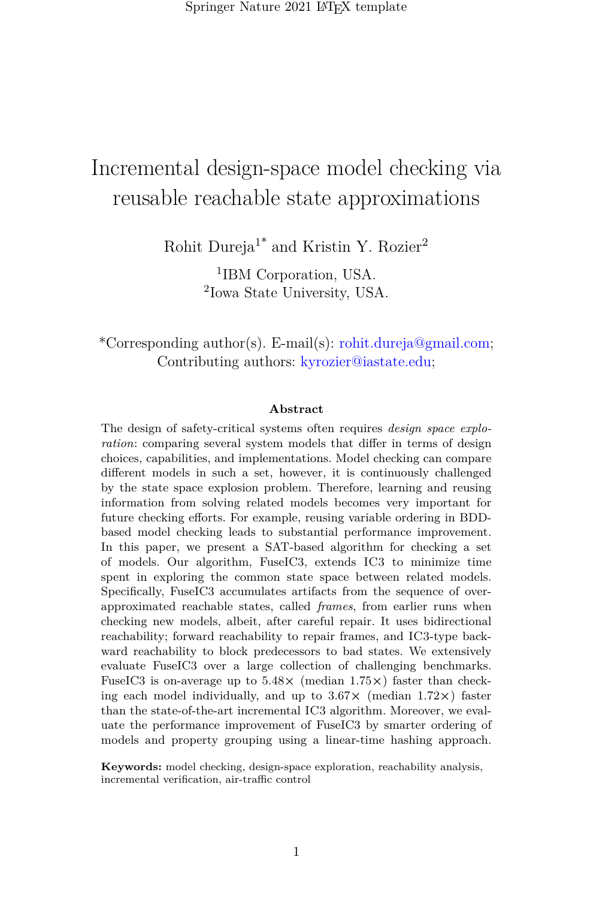Springer Nature 2021 LATEX template

# Incremental design-space model checking via reusable reachable state approximations

Rohit Dureja<sup>1\*</sup> and Kristin Y. Rozier<sup>2</sup>

1 IBM Corporation, USA. 2 Iowa State University, USA.

\*Corresponding author(s). E-mail(s): rohit.dureja@gmail.com; Contributing authors: kyrozier@iastate.edu;

#### **Abstract**

The design of safety-critical systems often requires *design space exploration*: comparing several system models that differ in terms of design choices, capabilities, and implementations. Model checking can compare different models in such a set, however, it is continuously challenged by the state space explosion problem. Therefore, learning and reusing information from solving related models becomes very important for future checking efforts. For example, reusing variable ordering in BDDbased model checking leads to substantial performance improvement. In this paper, we present a SAT-based algorithm for checking a set of models. Our algorithm, FuseIC3, extends IC3 to minimize time spent in exploring the common state space between related models. Specifically, FuseIC3 accumulates artifacts from the sequence of overapproximated reachable states, called *frames*, from earlier runs when checking new models, albeit, after careful repair. It uses bidirectional reachability; forward reachability to repair frames, and IC3-type backward reachability to block predecessors to bad states. We extensively evaluate FuseIC3 over a large collection of challenging benchmarks. FuseIC3 is on-average up to 5.48**×** (median 1.75**×**) faster than checking each model individually, and up to 3.67**×** (median 1.72**×**) faster than the state-of-the-art incremental IC3 algorithm. Moreover, we evaluate the performance improvement of FuseIC3 by smarter ordering of models and property grouping using a linear-time hashing approach.

**Keywords:** model checking, design-space exploration, reachability analysis, incremental verification, air-traffic control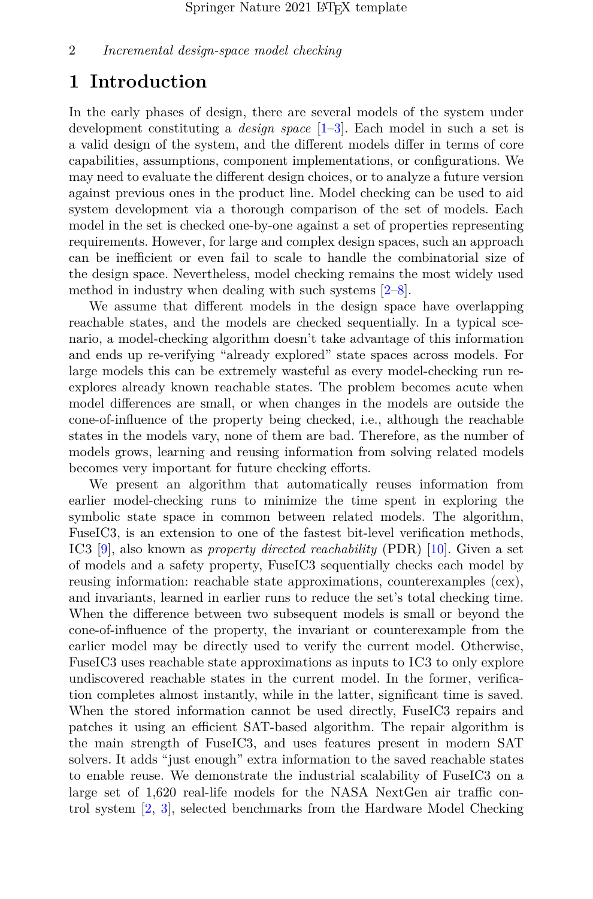# **1 Introduction**

In the early phases of design, there are several models of the system under development constituting a *design space* [\[1–](#page-25-0)[3\]](#page-26-0). Each model in such a set is a valid design of the system, and the different models differ in terms of core capabilities, assumptions, component implementations, or configurations. We may need to evaluate the different design choices, or to analyze a future version against previous ones in the product line. Model checking can be used to aid system development via a thorough comparison of the set of models. Each model in the set is checked one-by-one against a set of properties representing requirements. However, for large and complex design spaces, such an approach can be inefficient or even fail to scale to handle the combinatorial size of the design space. Nevertheless, model checking remains the most widely used method in industry when dealing with such systems [\[2–](#page-25-1)[8\]](#page-26-1).

We assume that different models in the design space have overlapping reachable states, and the models are checked sequentially. In a typical scenario, a model-checking algorithm doesn't take advantage of this information and ends up re-verifying "already explored" state spaces across models. For large models this can be extremely wasteful as every model-checking run reexplores already known reachable states. The problem becomes acute when model differences are small, or when changes in the models are outside the cone-of-influence of the property being checked, i.e., although the reachable states in the models vary, none of them are bad. Therefore, as the number of models grows, learning and reusing information from solving related models becomes very important for future checking efforts.

We present an algorithm that automatically reuses information from earlier model-checking runs to minimize the time spent in exploring the symbolic state space in common between related models. The algorithm, FuseIC3, is an extension to one of the fastest bit-level verification methods, IC3 [\[9\]](#page-26-2), also known as *property directed reachability* (PDR) [\[10\]](#page-26-3). Given a set of models and a safety property, FuseIC3 sequentially checks each model by reusing information: reachable state approximations, counterexamples (cex), and invariants, learned in earlier runs to reduce the set's total checking time. When the difference between two subsequent models is small or beyond the cone-of-influence of the property, the invariant or counterexample from the earlier model may be directly used to verify the current model. Otherwise, FuseIC3 uses reachable state approximations as inputs to IC3 to only explore undiscovered reachable states in the current model. In the former, verification completes almost instantly, while in the latter, significant time is saved. When the stored information cannot be used directly, FuseIC3 repairs and patches it using an efficient SAT-based algorithm. The repair algorithm is the main strength of FuseIC3, and uses features present in modern SAT solvers. It adds "just enough" extra information to the saved reachable states to enable reuse. We demonstrate the industrial scalability of FuseIC3 on a large set of 1,620 real-life models for the NASA NextGen air traffic control system [\[2,](#page-25-1) [3\]](#page-26-0), selected benchmarks from the Hardware Model Checking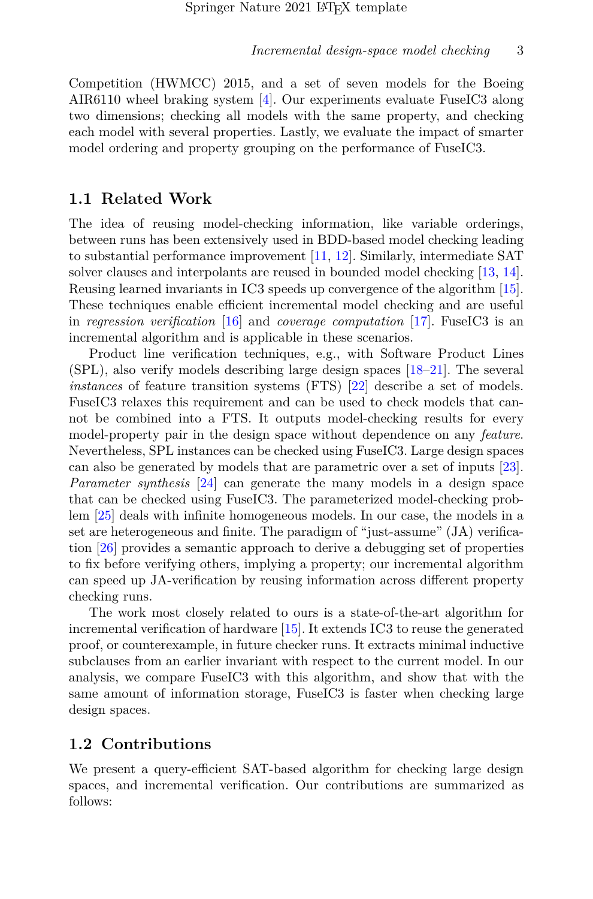Competition (HWMCC) 2015, and a set of seven models for the Boeing AIR6110 wheel braking system [\[4\]](#page-26-4). Our experiments evaluate FuseIC3 along two dimensions; checking all models with the same property, and checking each model with several properties. Lastly, we evaluate the impact of smarter model ordering and property grouping on the performance of FuseIC3.

## **1.1 Related Work**

The idea of reusing model-checking information, like variable orderings, between runs has been extensively used in BDD-based model checking leading to substantial performance improvement [\[11,](#page-26-5) [12\]](#page-27-0). Similarly, intermediate SAT solver clauses and interpolants are reused in bounded model checking [\[13,](#page-27-1) [14\]](#page-27-2). Reusing learned invariants in IC3 speeds up convergence of the algorithm [\[15\]](#page-27-3). These techniques enable efficient incremental model checking and are useful in *regression verification* [\[16\]](#page-27-4) and *coverage computation* [\[17\]](#page-27-5). FuseIC3 is an incremental algorithm and is applicable in these scenarios.

Product line verification techniques, e.g., with Software Product Lines (SPL), also verify models describing large design spaces [\[18–](#page-27-6)[21\]](#page-27-7). The several *instances* of feature transition systems (FTS) [\[22\]](#page-28-0) describe a set of models. FuseIC3 relaxes this requirement and can be used to check models that cannot be combined into a FTS. It outputs model-checking results for every model-property pair in the design space without dependence on any *feature*. Nevertheless, SPL instances can be checked using FuseIC3. Large design spaces can also be generated by models that are parametric over a set of inputs [\[23\]](#page-28-1). *Parameter synthesis* [\[24\]](#page-28-2) can generate the many models in a design space that can be checked using FuseIC3. The parameterized model-checking problem [\[25\]](#page-28-3) deals with infinite homogeneous models. In our case, the models in a set are heterogeneous and finite. The paradigm of "just-assume" (JA) verification [\[26\]](#page-28-4) provides a semantic approach to derive a debugging set of properties to fix before verifying others, implying a property; our incremental algorithm can speed up JA-verification by reusing information across different property checking runs.

The work most closely related to ours is a state-of-the-art algorithm for incremental verification of hardware [\[15\]](#page-27-3). It extends IC3 to reuse the generated proof, or counterexample, in future checker runs. It extracts minimal inductive subclauses from an earlier invariant with respect to the current model. In our analysis, we compare FuseIC3 with this algorithm, and show that with the same amount of information storage, FuseIC3 is faster when checking large design spaces.

#### **1.2 Contributions**

We present a query-efficient SAT-based algorithm for checking large design spaces, and incremental verification. Our contributions are summarized as follows: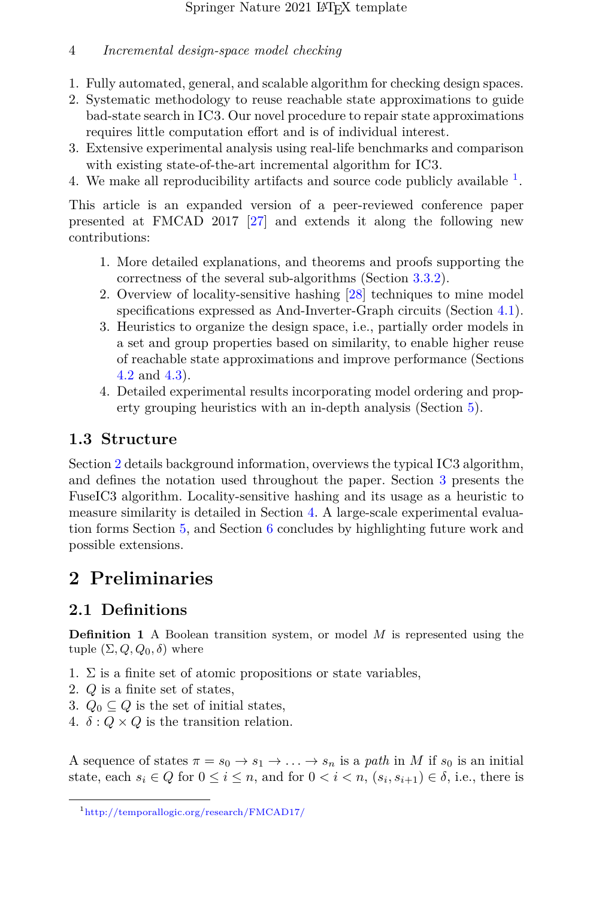- 1. Fully automated, general, and scalable algorithm for checking design spaces.
- 2. Systematic methodology to reuse reachable state approximations to guide bad-state search in IC3. Our novel procedure to repair state approximations requires little computation effort and is of individual interest.
- 3. Extensive experimental analysis using real-life benchmarks and comparison with existing state-of-the-art incremental algorithm for IC3.
- 4. We make all reproducibility artifacts and source code publicly available  $<sup>1</sup>$  $<sup>1</sup>$  $<sup>1</sup>$ .</sup>

This article is an expanded version of a peer-reviewed conference paper presented at FMCAD 2017 [\[27\]](#page-28-5) and extends it along the following new contributions:

- 1. More detailed explanations, and theorems and proofs supporting the correctness of the several sub-algorithms (Section [3.3.2\)](#page-11-0).
- 2. Overview of locality-sensitive hashing [\[28\]](#page-28-6) techniques to mine model specifications expressed as And-Inverter-Graph circuits (Section [4.1\)](#page-16-0).
- 3. Heuristics to organize the design space, i.e., partially order models in a set and group properties based on similarity, to enable higher reuse of reachable state approximations and improve performance (Sections [4.2](#page-18-0) and [4.3\)](#page-18-1).
- 4. Detailed experimental results incorporating model ordering and property grouping heuristics with an in-depth analysis (Section [5\)](#page-19-0).

## **1.3 Structure**

Section [2](#page-3-1) details background information, overviews the typical IC3 algorithm, and defines the notation used throughout the paper. Section [3](#page-6-0) presents the FuseIC3 algorithm. Locality-sensitive hashing and its usage as a heuristic to measure similarity is detailed in Section [4.](#page-16-1) A large-scale experimental evaluation forms Section [5,](#page-19-0) and Section [6](#page-24-0) concludes by highlighting future work and possible extensions.

# <span id="page-3-1"></span>**2 Preliminaries**

# **2.1 Definitions**

**Definition 1** A Boolean transition system, or model *M* is represented using the tuple  $(\Sigma, Q, Q_0, \delta)$  where

- 1.  $\Sigma$  is a finite set of atomic propositions or state variables,
- 2. *Q* is a finite set of states,
- 3.  $Q_0 \subseteq Q$  is the set of initial states,
- 4.  $\delta$  :  $Q \times Q$  is the transition relation.

A sequence of states  $\pi = s_0 \rightarrow s_1 \rightarrow \ldots \rightarrow s_n$  is a *path* in *M* if  $s_0$  is an initial state, each  $s_i \in Q$  for  $0 \le i \le n$ , and for  $0 < i < n$ ,  $(s_i, s_{i+1}) \in \delta$ , i.e., there is

<span id="page-3-0"></span><sup>1</sup><http://temporallogic.org/research/FMCAD17/>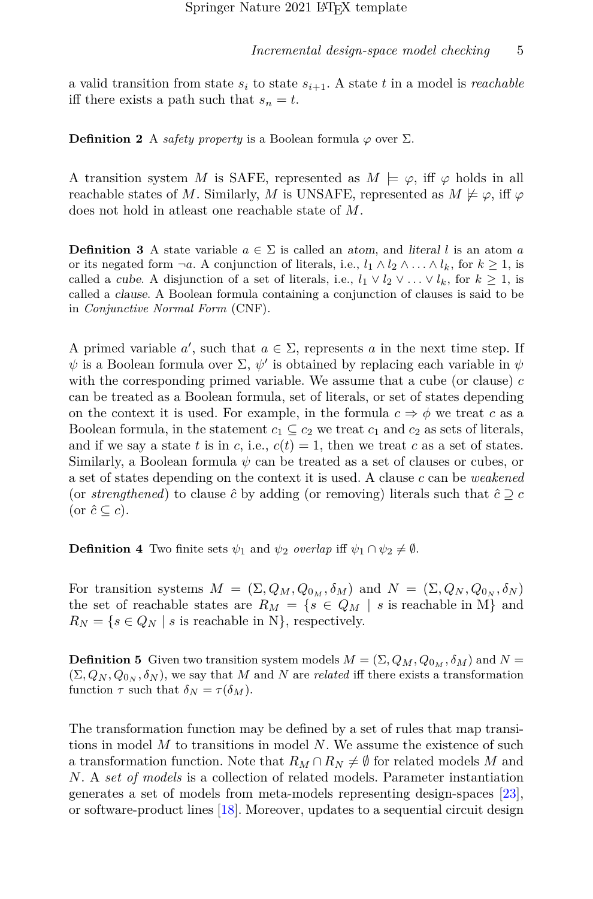a valid transition from state  $s_i$  to state  $s_{i+1}$ . A state  $t$  in a model is *reachable* iff there exists a path such that  $s_n = t$ .

**Definition 2** A *safety property* is a Boolean formula  $\varphi$  over  $\Sigma$ .

A transition system *M* is SAFE, represented as  $M \models \varphi$ , iff  $\varphi$  holds in all reachable states of *M*. Similarly, *M* is UNSAFE, represented as  $M \not\models \varphi$ , iff  $\varphi$ does not hold in atleast one reachable state of *M*.

**Definition 3** A state variable  $a \in \Sigma$  is called an atom, and literal l is an atom a or its negated form  $\neg a$ . A conjunction of literals, i.e.,  $l_1 \wedge l_2 \wedge \ldots \wedge l_k$ , for  $k \geq 1$ , is called a *cube.* A disjunction of a set of literals, i.e.,  $l_1 \vee l_2 \vee \ldots \vee l_k$ , for  $k \geq 1$ , is called a clause. A Boolean formula containing a conjunction of clauses is said to be in *Conjunctive Normal Form* (CNF).

A primed variable  $a'$ , such that  $a \in \Sigma$ , represents  $a$  in the next time step. If  $\psi$  is a Boolean formula over  $\Sigma$ ,  $\psi'$  is obtained by replacing each variable in  $\psi$ with the corresponding primed variable. We assume that a cube (or clause) *c* can be treated as a Boolean formula, set of literals, or set of states depending on the context it is used. For example, in the formula  $c \Rightarrow \phi$  we treat c as a Boolean formula, in the statement  $c_1 \subseteq c_2$  we treat  $c_1$  and  $c_2$  as sets of literals, and if we say a state *t* is in *c*, i.e.,  $c(t) = 1$ , then we treat *c* as a set of states. Similarly, a Boolean formula  $\psi$  can be treated as a set of clauses or cubes, or a set of states depending on the context it is used. A clause *c* can be *weakened* (or *strengthened*) to clause  $\hat{c}$  by adding (or removing) literals such that  $\hat{c} \supseteq c$ (or  $\hat{c} \subseteq c$ ).

**Definition 4** Two finite sets  $\psi_1$  and  $\psi_2$  *overlap* iff  $\psi_1 \cap \psi_2 \neq \emptyset$ .

For transition systems  $M = (\Sigma, Q_M, Q_{0_M}, \delta_M)$  and  $N = (\Sigma, Q_N, Q_{0_N}, \delta_N)$ the set of reachable states are  $R_M = \{s \in Q_M \mid s \text{ is reachable in } M\}$  and  $R_N = \{s \in Q_N \mid s \text{ is reachable in } N\}$ , respectively.

**Definition 5** Given two transition system models  $M = (\Sigma, Q_M, Q_{0_M}, \delta_M)$  and  $N =$  $(\Sigma, Q_N, Q_{0_N}, \delta_N)$ , we say that *M* and *N* are *related* iff there exists a transformation function  $\tau$  such that  $\delta_N = \tau(\delta_M)$ .

The transformation function may be defined by a set of rules that map transitions in model *M* to transitions in model *N*. We assume the existence of such a transformation function. Note that  $R_M \cap R_N \neq \emptyset$  for related models M and *N*. A *set of models* is a collection of related models. Parameter instantiation generates a set of models from meta-models representing design-spaces [\[23\]](#page-28-1), or software-product lines [\[18\]](#page-27-6). Moreover, updates to a sequential circuit design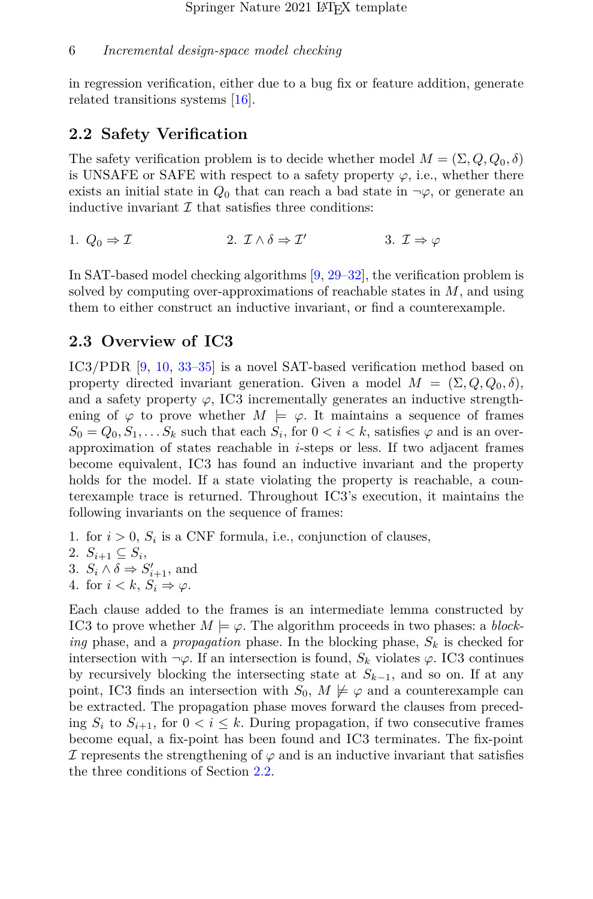in regression verification, either due to a bug fix or feature addition, generate related transitions systems [\[16\]](#page-27-4).

## <span id="page-5-0"></span>**2.2 Safety Verification**

The safety verification problem is to decide whether model  $M = (\Sigma, Q, Q_0, \delta)$ is UNSAFE or SAFE with respect to a safety property  $\varphi$ , i.e., whether there exists an initial state in  $Q_0$  that can reach a bad state in  $\neg \varphi$ , or generate an inductive invariant  $\mathcal I$  that satisfies three conditions:

1. 
$$
Q_0 \Rightarrow \mathcal{I}
$$
  
2.  $\mathcal{I} \wedge \delta \Rightarrow \mathcal{I}'$   
3.  $\mathcal{I} \Rightarrow \varphi$ 

In SAT-based model checking algorithms [\[9,](#page-26-2) [29–](#page-28-7)[32\]](#page-29-0), the verification problem is solved by computing over-approximations of reachable states in *M*, and using them to either construct an inductive invariant, or find a counterexample.

#### <span id="page-5-1"></span>**2.3 Overview of IC3**

IC3/PDR [\[9,](#page-26-2) [10,](#page-26-3) [33](#page-29-1)[–35\]](#page-29-2) is a novel SAT-based verification method based on property directed invariant generation. Given a model  $M = (\Sigma, Q, Q_0, \delta),$ and a safety property  $\varphi$ , IC3 incrementally generates an inductive strengthening of  $\varphi$  to prove whether  $M \models \varphi$ . It maintains a sequence of frames  $S_0 = Q_0, S_1, \ldots S_k$  such that each  $S_i$ , for  $0 < i < k$ , satisfies  $\varphi$  and is an overapproximation of states reachable in *i*-steps or less. If two adjacent frames become equivalent, IC3 has found an inductive invariant and the property holds for the model. If a state violating the property is reachable, a counterexample trace is returned. Throughout IC3's execution, it maintains the following invariants on the sequence of frames:

1. for  $i > 0$ ,  $S_i$  is a CNF formula, i.e., conjunction of clauses,

$$
2. S_{i+1} \subseteq S_i,
$$

- 3.  $S_i \wedge \delta \Rightarrow S'_{i+1}$ , and
- 4. for  $i < k$ ,  $S_i \Rightarrow \varphi$ .

Each clause added to the frames is an intermediate lemma constructed by IC3 to prove whether  $M \models \varphi$ . The algorithm proceeds in two phases: a *blocking* phase, and a *propagation* phase. In the blocking phase, *S<sup>k</sup>* is checked for intersection with  $\neg \varphi$ . If an intersection is found,  $S_k$  violates  $\varphi$ . IC3 continues by recursively blocking the intersecting state at *Sk*−1, and so on. If at any point, IC3 finds an intersection with  $S_0$ ,  $M \not\models \varphi$  and a counterexample can be extracted. The propagation phase moves forward the clauses from preceding  $S_i$  to  $S_{i+1}$ , for  $0 < i \leq k$ . During propagation, if two consecutive frames become equal, a fix-point has been found and IC3 terminates. The fix-point If represents the strengthening of  $\varphi$  and is an inductive invariant that satisfies the three conditions of Section [2.2.](#page-5-0)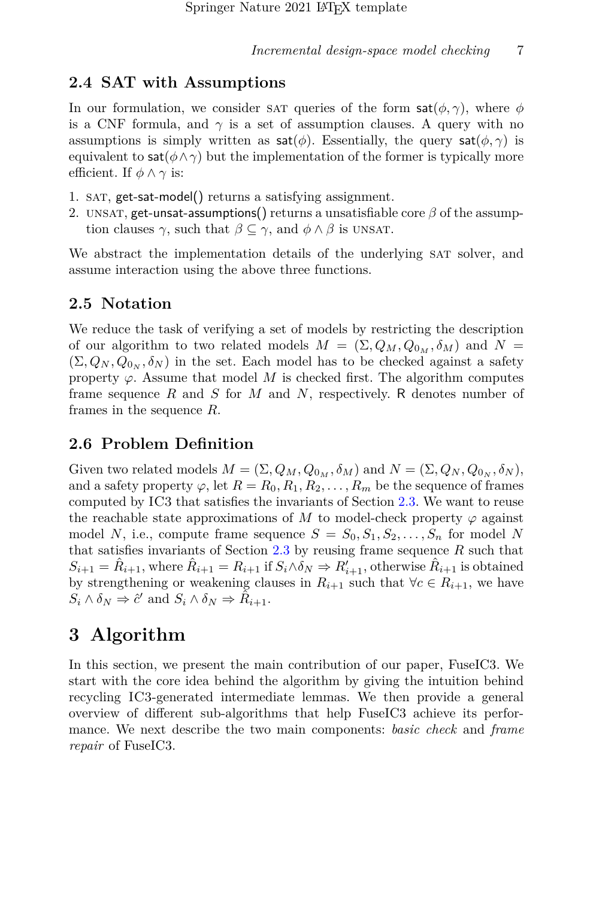## **2.4 SAT with Assumptions**

In our formulation, we consider sat queries of the form  $\mathsf{sat}(\phi,\gamma)$ , where  $\phi$ is a CNF formula, and  $\gamma$  is a set of assumption clauses. A query with no assumptions is simply written as  $\mathsf{sat}(\phi)$ . Essentially, the query  $\mathsf{sat}(\phi,\gamma)$  is equivalent to sat $(\phi \land \gamma)$  but the implementation of the former is typically more efficient. If  $\phi \land \gamma$  is:

- 1. sat, get-sat-model() returns a satisfying assignment.
- 2. UNSAT, get-unsat-assumptions() returns a unsatisfiable core  $\beta$  of the assumption clauses  $\gamma$ , such that  $\beta \subseteq \gamma$ , and  $\phi \wedge \beta$  is UNSAT.

We abstract the implementation details of the underlying SAT solver, and assume interaction using the above three functions.

## **2.5 Notation**

We reduce the task of verifying a set of models by restricting the description of our algorithm to two related models  $M = (\Sigma, Q_M, Q_{0_M}, \delta_M)$  and  $N =$  $(\Sigma, Q_N, Q_{0_N}, \delta_N)$  in the set. Each model has to be checked against a safety property  $\varphi$ . Assume that model *M* is checked first. The algorithm computes frame sequence *R* and *S* for *M* and *N*, respectively. R denotes number of frames in the sequence *R*.

## **2.6 Problem Definition**

Given two related models  $M = (\Sigma, Q_M, Q_{0_M}, \delta_M)$  and  $N = (\Sigma, Q_N, Q_{0_N}, \delta_N)$ , and a safety property  $\varphi$ , let  $R = R_0, R_1, R_2, \ldots, R_m$  be the sequence of frames computed by IC3 that satisfies the invariants of Section [2.3.](#page-5-1) We want to reuse the reachable state approximations of *M* to model-check property  $\varphi$  against model *N*, i.e., compute frame sequence  $S = S_0, S_1, S_2, \ldots, S_n$  for model *N* that satisfies invariants of Section [2.3](#page-5-1) by reusing frame sequence *R* such that  $S_{i+1} = \hat{R}_{i+1}$ , where  $\hat{R}_{i+1} = R_{i+1}$  if  $S_i \wedge \delta_N \Rightarrow R'_{i+1}$ , otherwise  $\hat{R}_{i+1}$  is obtained by strengthening or weakening clauses in  $R_{i+1}$  such that  $\forall c \in R_{i+1}$ , we have  $S_i \wedge \delta_N \Rightarrow \hat{c}'$  and  $S_i \wedge \delta_N \Rightarrow \tilde{R}_{i+1}.$ 

# <span id="page-6-0"></span>**3 Algorithm**

In this section, we present the main contribution of our paper, FuseIC3. We start with the core idea behind the algorithm by giving the intuition behind recycling IC3-generated intermediate lemmas. We then provide a general overview of different sub-algorithms that help FuseIC3 achieve its performance. We next describe the two main components: *basic check* and *frame repair* of FuseIC3.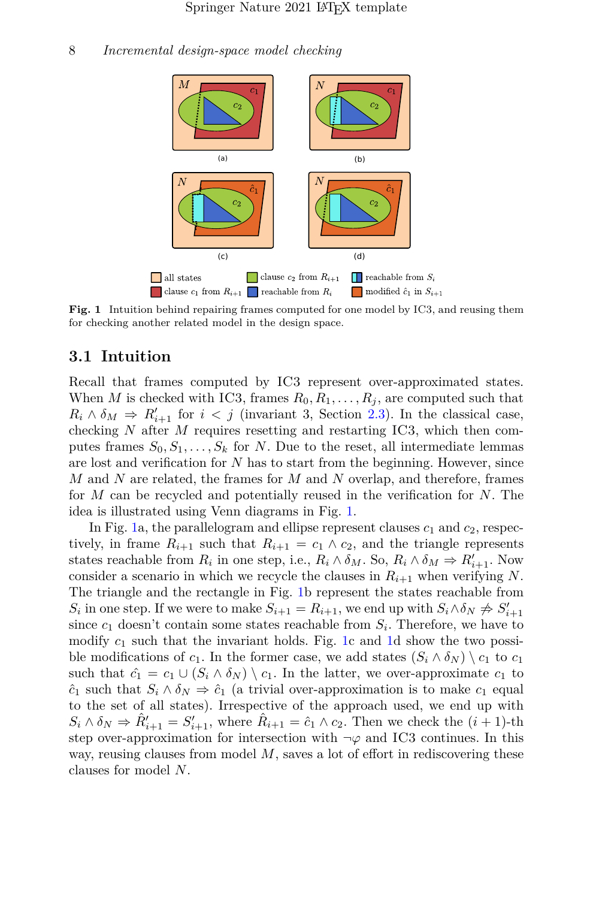

<span id="page-7-0"></span>**Fig. 1** Intuition behind repairing frames computed for one model by IC3, and reusing them for checking another related model in the design space.

#### **3.1 Intuition**

Recall that frames computed by IC3 represent over-approximated states. When *M* is checked with IC3, frames  $R_0, R_1, \ldots, R_j$ , are computed such that  $R_i \wedge \delta_M \Rightarrow R'_{i+1}$  for  $i < j$  (invariant 3, Section [2.3\)](#page-5-1). In the classical case, checking *N* after *M* requires resetting and restarting IC3, which then computes frames  $S_0, S_1, \ldots, S_k$  for *N*. Due to the reset, all intermediate lemmas are lost and verification for *N* has to start from the beginning. However, since *M* and *N* are related, the frames for *M* and *N* overlap, and therefore, frames for *M* can be recycled and potentially reused in the verification for *N*. The idea is illustrated using Venn diagrams in Fig. [1.](#page-7-0)

In Fig. [1a](#page-7-0), the parallelogram and ellipse represent clauses  $c_1$  and  $c_2$ , respectively, in frame  $R_{i+1}$  such that  $R_{i+1} = c_1 \wedge c_2$ , and the triangle represents states reachable from  $R_i$  in one step, i.e.,  $R_i \wedge \delta_M$ . So,  $R_i \wedge \delta_M \Rightarrow R'_{i+1}$ . Now consider a scenario in which we recycle the clauses in  $R_{i+1}$  when verifying N. The triangle and the rectangle in Fig. [1b](#page-7-0) represent the states reachable from  $S_i$  in one step. If we were to make  $S_{i+1} = R_{i+1}$ , we end up with  $S_i \wedge \delta_N \neq S'_{i+1}$ since  $c_1$  doesn't contain some states reachable from  $S_i$ . Therefore, we have to modify  $c_1$  such that the invariant holds. Fig. [1c](#page-7-0) and [1d](#page-7-0) show the two possible modifications of  $c_1$ . In the former case, we add states  $(S_i \wedge \delta_N) \setminus c_1$  to  $c_1$ such that  $\hat{c}_1 = c_1 \cup (S_i \wedge \delta_N) \setminus c_1$ . In the latter, we over-approximate  $c_1$  to  $\hat{c}_1$  such that  $S_i \wedge \delta_N \Rightarrow \hat{c}_1$  (a trivial over-approximation is to make  $c_1$  equal to the set of all states). Irrespective of the approach used, we end up with  $S_i \wedge \delta_N \Rightarrow \hat{R}'_{i+1} = S'_{i+1}$ , where  $\hat{R}_{i+1} = \hat{c}_1 \wedge c_2$ . Then we check the  $(i+1)$ -th step over-approximation for intersection with  $\neg \varphi$  and IC3 continues. In this way, reusing clauses from model M, saves a lot of effort in rediscovering these clauses for model *N*.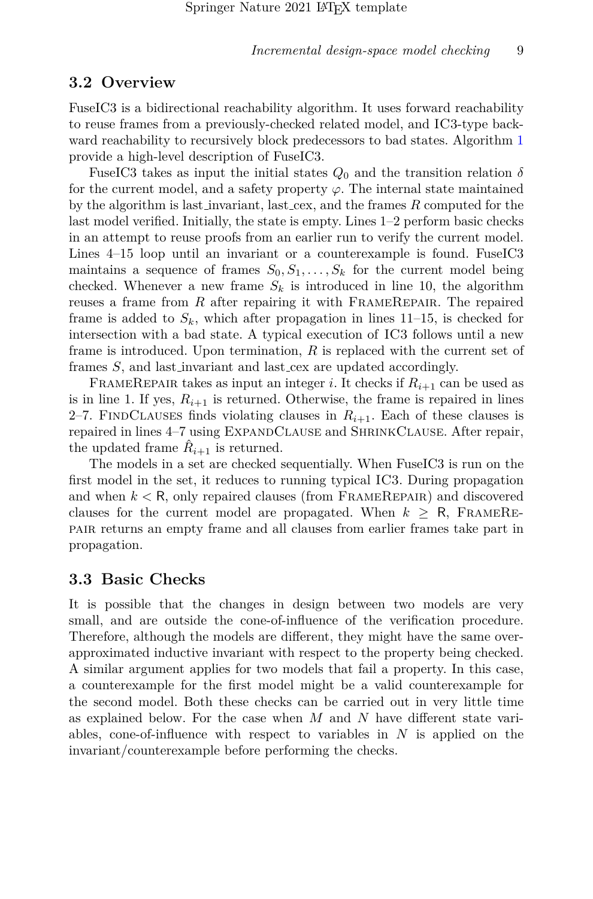#### **3.2 Overview**

FuseIC3 is a bidirectional reachability algorithm. It uses forward reachability to reuse frames from a previously-checked related model, and IC3-type backward reachability to recursively block predecessors to bad states. Algorithm [1](#page-9-0) provide a high-level description of FuseIC3.

FuseIC3 takes as input the initial states  $Q_0$  and the transition relation  $\delta$ for the current model, and a safety property  $\varphi$ . The internal state maintained by the algorithm is last invariant, last cex, and the frames *R* computed for the last model verified. Initially, the state is empty. Lines 1–2 perform basic checks in an attempt to reuse proofs from an earlier run to verify the current model. Lines 4–15 loop until an invariant or a counterexample is found. FuseIC3 maintains a sequence of frames  $S_0, S_1, \ldots, S_k$  for the current model being checked. Whenever a new frame  $S_k$  is introduced in line 10, the algorithm reuses a frame from *R* after repairing it with FRAMEREPAIR. The repaired frame is added to  $S_k$ , which after propagation in lines  $11-15$ , is checked for intersection with a bad state. A typical execution of IC3 follows until a new frame is introduced. Upon termination, *R* is replaced with the current set of frames *S*, and last invariant and last cex are updated accordingly.

FRAMEREPAIR takes as input an integer *i*. It checks if  $R_{i+1}$  can be used as is in line 1. If yes,  $R_{i+1}$  is returned. Otherwise, the frame is repaired in lines 2–7. FINDCLAUSES finds violating clauses in  $R_{i+1}$ . Each of these clauses is repaired in lines 4–7 using ExpandClause and ShrinkClause. After repair, the updated frame  $\hat{R}_{i+1}$  is returned.

The models in a set are checked sequentially. When FuseIC3 is run on the first model in the set, it reduces to running typical IC3. During propagation and when  $k < R$ , only repaired clauses (from FRAMEREPAIR) and discovered clauses for the current model are propagated. When  $k \geq R$ , FRAMEREpair returns an empty frame and all clauses from earlier frames take part in propagation.

#### **3.3 Basic Checks**

It is possible that the changes in design between two models are very small, and are outside the cone-of-influence of the verification procedure. Therefore, although the models are different, they might have the same overapproximated inductive invariant with respect to the property being checked. A similar argument applies for two models that fail a property. In this case, a counterexample for the first model might be a valid counterexample for the second model. Both these checks can be carried out in very little time as explained below. For the case when *M* and *N* have different state variables, cone-of-influence with respect to variables in *N* is applied on the invariant/counterexample before performing the checks.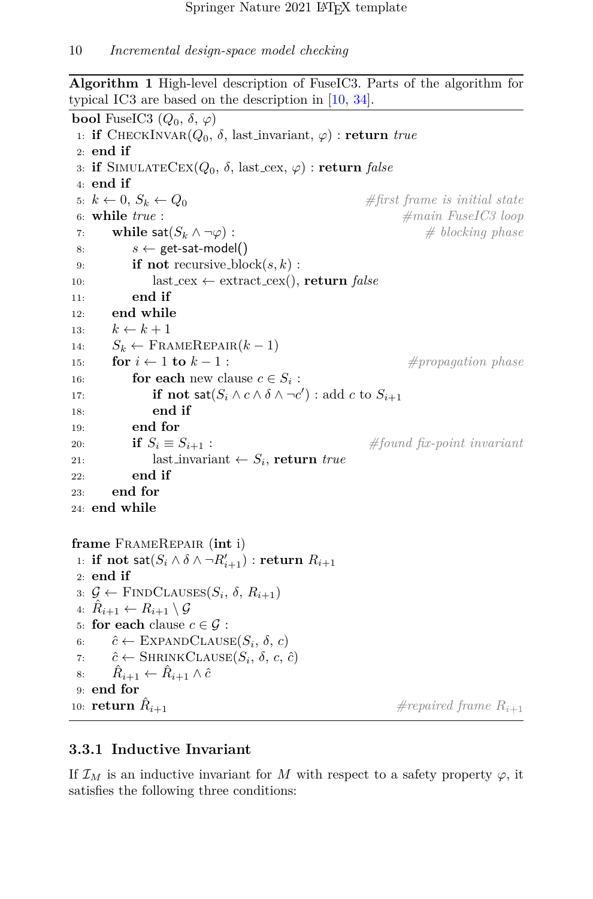<span id="page-9-0"></span>**Algorithm 1** High-level description of FuseIC3. Parts of the algorithm for typical IC3 are based on the description in [\[10,](#page-26-3) [34\]](#page-29-3).

```
bool FuseIC3 (Q_0, \delta, \varphi)1: if CHECKINVAR(Q_0, \delta, \text{last-invariant}, \varphi): return true
2: end if
3: if SIMULATECEX(Q_0, \delta, last cex, \varphi) : return false
4: end if
5: k \leftarrow 0, S_k \leftarrow Q_0 #first frame is initial state
6: while true : #main FuseIC3 loop
7: while sat(S_k \land \neg \varphi): \qquad \qquad \# \text{ blocking phase}8: s \leftarrow get-sat-model()
9: if not recursive block(s, k) :
10: last\_cex \leftarrow extract\_cex(), \textbf{return false}11: end if
12: end while
13: k \leftarrow k + 114: S_k \leftarrow \text{FRAMEREPAIR}(k-1)15: for i \leftarrow 1 to k-1 : \qquad \qquad \#propagation\ phase16: for each new clause c \in S_i:
17: if not \mathsf{sat}(S_i \land c \land \delta \land \neg c') : \text{add } c \text{ to } S_{i+1}18: end if
19: end for
20: if S_i \equiv S_{i+1}: #found fix-point invariant
21: last invariant \leftarrow S_i, return true
22: end if
23: end for
24: end while
frame FrameRepair (int i)
 1: if not \mathsf{sat}(S_i \wedge \delta \wedge \neg R'_{i+1}) : \mathbf{return} R_{i+1}2: end if
 3: \mathcal{G} \leftarrow FINDCLAUSES(S_i, \delta, R_{i+1})
 4: \hat{R}_{i+1} \leftarrow R_{i+1} \setminus \mathcal{G}5: for each clause c \in \mathcal{G}:
 6: \hat{c} \leftarrow \text{EXPANDCLAUSE}(S_i, \delta, c)7: \hat{c} \leftarrow \text{SHRINKCLAUSE}(S_i, \delta, c, \hat{c})8: \hat{R}_{i+1} \leftarrow \hat{R}_{i+1} \wedge \hat{c}9: end for
10: return R_{i+1}\#repaired frame R_{i+1}
```
## **3.3.1 Inductive Invariant**

If  $\mathcal{I}_M$  is an inductive invariant for M with respect to a safety property  $\varphi$ , it satisfies the following three conditions: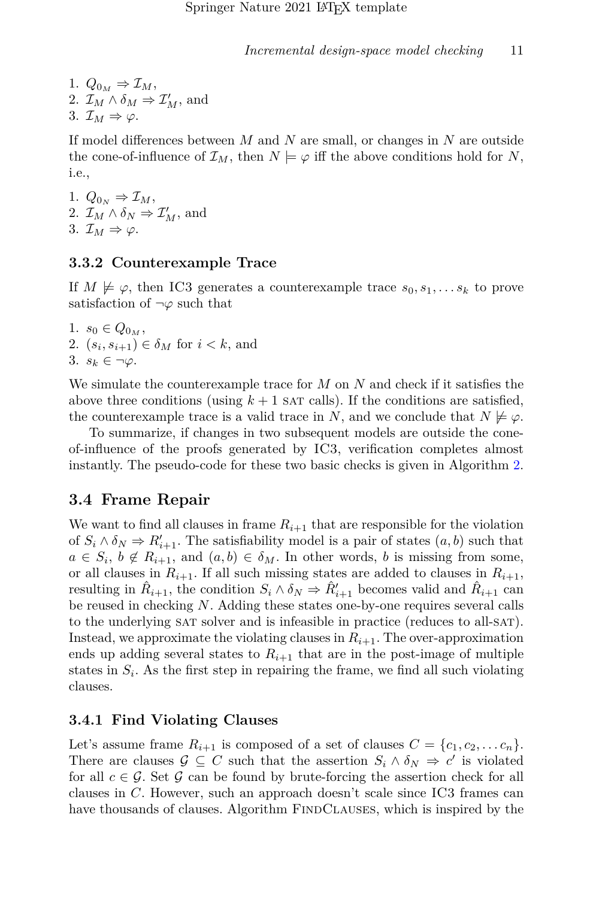1. 
$$
Q_{0_M} \Rightarrow \mathcal{I}_M
$$
,  
\n2.  $\mathcal{I}_M \wedge \delta_M \Rightarrow \mathcal{I}'_M$ , and  
\n3.  $\mathcal{I}_M \Rightarrow \varphi$ .

If model differences between *M* and *N* are small, or changes in *N* are outside the cone-of-influence of  $\mathcal{I}_M$ , then  $N \models \varphi$  iff the above conditions hold for N, i.e.,

1.  $Q_{0_N} \Rightarrow \mathcal{I}_M$ , 2.  $\mathcal{I}_M \wedge \delta_N \Rightarrow \mathcal{I}'_M$ , and 3.  $\mathcal{I}_M \Rightarrow \varphi$ .

#### **3.3.2 Counterexample Trace**

If  $M \not\models \varphi$ , then IC3 generates a counterexample trace  $s_0, s_1, \ldots s_k$  to prove satisfaction of ¬*φ* such that

1.  $s_0 \in Q_{0_M}$ , 2.  $(s_i, s_{i+1}) \in \delta_M$  for  $i < k$ , and 3.  $s_k \in \neg \varphi$ .

We simulate the counterexample trace for *M* on *N* and check if it satisfies the above three conditions (using  $k+1$  sat calls). If the conditions are satisfied, the counterexample trace is a valid trace in *N*, and we conclude that  $N \not\models \varphi$ .

To summarize, if changes in two subsequent models are outside the coneof-influence of the proofs generated by IC3, verification completes almost instantly. The pseudo-code for these two basic checks is given in Algorithm [2.](#page-11-0)

#### **3.4 Frame Repair**

We want to find all clauses in frame  $R_{i+1}$  that are responsible for the violation of  $S_i \wedge \delta_N \Rightarrow R'_{i+1}$ . The satisfiability model is a pair of states  $(a, b)$  such that  $a \in S_i$ ,  $b \notin R_{i+1}$ , and  $(a, b) \in \delta_M$ . In other words, *b* is missing from some, or all clauses in  $R_{i+1}$ . If all such missing states are added to clauses in  $R_{i+1}$ , resulting in  $\hat{R}_{i+1}$ , the condition  $S_i \wedge \delta_N \Rightarrow \hat{R}'_{i+1}$  becomes valid and  $\hat{R}_{i+1}$  can be reused in checking *N*. Adding these states one-by-one requires several calls to the underlying sat solver and is infeasible in practice (reduces to all-sat). Instead, we approximate the violating clauses in  $R_{i+1}$ . The over-approximation ends up adding several states to  $R_{i+1}$  that are in the post-image of multiple states in  $S_i$ . As the first step in repairing the frame, we find all such violating clauses.

#### **3.4.1 Find Violating Clauses**

Let's assume frame  $R_{i+1}$  is composed of a set of clauses  $C = \{c_1, c_2, \ldots c_n\}.$ There are clauses  $\mathcal{G} \subseteq C$  such that the assertion  $S_i \wedge \delta_N \Rightarrow c'$  is violated for all  $c \in \mathcal{G}$ . Set  $\mathcal{G}$  can be found by brute-forcing the assertion check for all clauses in *C*. However, such an approach doesn't scale since IC3 frames can have thousands of clauses. Algorithm FINDCLAUSES, which is inspired by the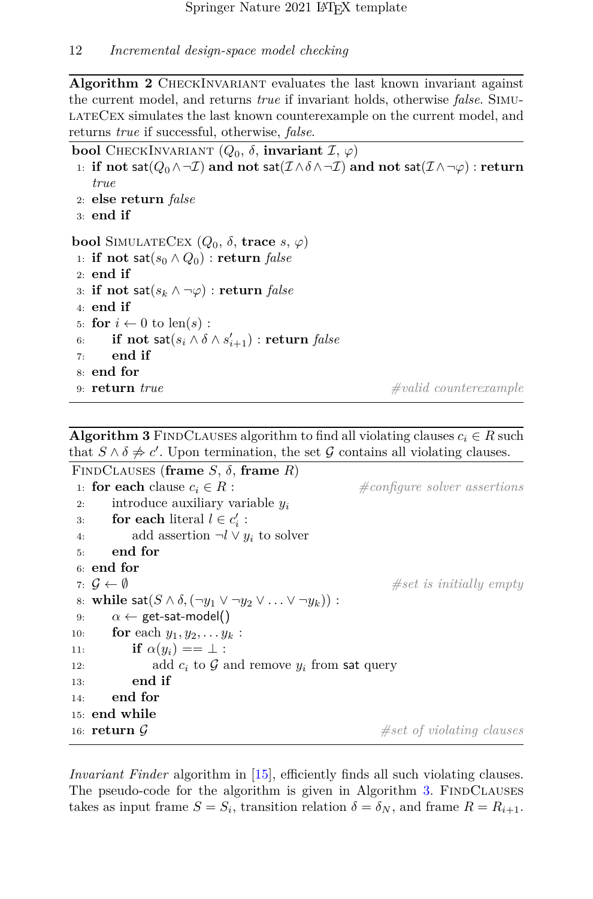<span id="page-11-0"></span>Algorithm 2 CHECKINVARIANT evaluates the last known invariant against the current model, and returns *true* if invariant holds, otherwise *false*. SimulateCex simulates the last known counterexample on the current model, and returns *true* if successful, otherwise, *false*.

**bool** CHECKINVARIANT  $(Q_0, δ,$  **invariant**  $\mathcal{I}, φ)$ 

- 1: **if not** sat( $Q_0 \land \neg \mathcal{I}$ ) and not sat( $\mathcal{I} \land \delta \land \neg \mathcal{I}$ ) and not sat( $\mathcal{I} \land \neg \varphi$ ) : return *true*
- 2: **else return** *false*

```
3: end if
```
**bool** SIMULATECEX  $(Q_0, \delta, \textbf{trace } s, \varphi)$ 

1: **if not**  $\mathsf{sat}(s_0 \land Q_0)$  : **return** *false* 2: **end if** 3: **if not**  $\mathsf{sat}(s_k \wedge \neg \varphi)$  : **return** *false* 4: **end if** 5: **for**  $i \leftarrow 0$  to len(s): 6: **if not**  $\mathsf{sat}(s_i \wedge \delta \wedge s'_{i+1})$  :  $\mathbf{return} \ \mathit{false}$ 7: **end if** 8: **end for**

9: **return** *true #valid counterexample*

<span id="page-11-1"></span>**Algorithm 3** FINDCLAUSES algorithm to find all violating clauses  $c_i \in R$  such that  $S \wedge \delta \neq c'$ . Upon termination, the set G contains all violating clauses.

```
FINDCLAUSES (frame S, \delta, frame R)
 1: for each clause c_i \in R : \text{\#configure solver assertions}2: introduce auxiliary variable yi
 3: for each literal l \in c'_i:
4: add assertion \neg l \lor y_i to solver
5: end for
 6: end for
7: \mathcal{G} \leftarrow \emptyset #set is initially empty
8: while sat(S \wedge \delta, (\neg y_1 \vee \neg y_2 \vee \ldots \vee \neg y_k)):
9: \alpha \leftarrow get-sat-model()
10: for each y_1, y_2, \ldots, y_k:
11: if \alpha(y_i) == \bot:
12: add c_i to \mathcal G and remove y_i from sat query
13: end if
14: end for
15: end while
16: return G #set of violating clauses
```
*Invariant Finder* algorithm in [\[15\]](#page-27-3), efficiently finds all such violating clauses. The pseudo-code for the algorithm is given in Algorithm [3.](#page-11-1) FINDCLAUSES takes as input frame  $S = S_i$ , transition relation  $\delta = \delta_N$ , and frame  $R = R_{i+1}$ .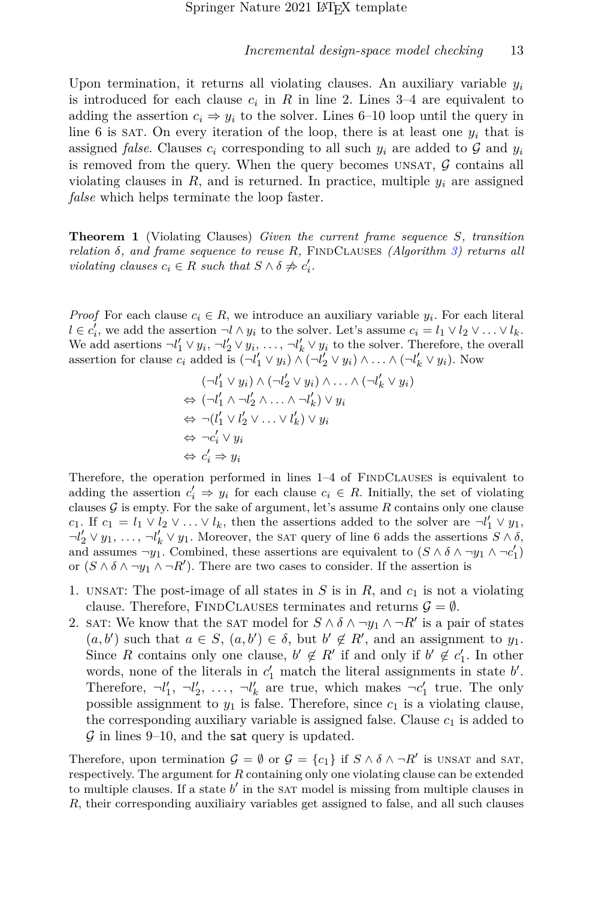Upon termination, it returns all violating clauses. An auxiliary variable  $y_i$ is introduced for each clause  $c_i$  in  $R$  in line 2. Lines  $3-4$  are equivalent to adding the assertion  $c_i \Rightarrow y_i$  to the solver. Lines 6–10 loop until the query in line 6 is sAT. On every iteration of the loop, there is at least one  $y_i$  that is assigned *false*. Clauses  $c_i$  corresponding to all such  $y_i$  are added to  $\mathcal G$  and  $y_i$ is removed from the query. When the query becomes UNSAT,  $\mathcal G$  contains all violating clauses in  $R$ , and is returned. In practice, multiple  $y_i$  are assigned *false* which helps terminate the loop faster.

<span id="page-12-0"></span>**Theorem 1** (Violating Clauses) *Given the current frame sequence S, transition relation*  $\delta$ *, and frame sequence to reuse*  $R$ *,* FINDCLAUSES (Algorithm [3\)](#page-11-1) returns all *violating clauses*  $c_i \in R$  *such that*  $S \wedge \delta \neq c'_i$ .

*Proof* For each clause  $c_i \in R$ , we introduce an auxiliary variable  $y_i$ . For each literal  $l \in c'_i$ , we add the assertion  $\neg l \wedge y_i$  to the solver. Let's assume  $c_i = l_1 \vee l_2 \vee \ldots \vee l_k$ . We add asertions  $\neg l'_1 \lor y_i, \neg l'_2 \lor y_i, \dots, \neg l'_k \lor y_i$  to the solver. Therefore, the overall assertion for clause  $c_i$  added is  $(\neg l'_1 \lor y_i) \land (\neg l'_2 \lor y_i) \land \dots \land (\neg l'_k \lor y_i)$ . Now

$$
(\neg l'_1 \lor y_i) \land (\neg l'_2 \lor y_i) \land \dots \land (\neg l'_k \lor y_i)
$$
  
\n
$$
\Leftrightarrow (\neg l'_1 \land \neg l'_2 \land \dots \land \neg l'_k) \lor y_i
$$
  
\n
$$
\Leftrightarrow \neg (l'_1 \lor l'_2 \lor \dots \lor l'_k) \lor y_i
$$
  
\n
$$
\Leftrightarrow \neg c'_i \lor y_i
$$
  
\n
$$
\Leftrightarrow c'_i \Rightarrow y_i
$$

Therefore, the operation performed in lines  $1-4$  of FINDCLAUSES is equivalent to adding the assertion  $c'_i \Rightarrow y_i$  for each clause  $c_i \in R$ . Initially, the set of violating clauses  $\mathcal G$  is empty. For the sake of argument, let's assume  $R$  contains only one clause *c*<sub>1</sub>. If  $c_1 = l_1 \vee l_2 \vee \ldots \vee l_k$ , then the assertions added to the solver are  $\neg l'_1 \vee y_1$ ,  $\neg l'_2 \lor y_1, \ldots, \neg l'_k \lor y_1$ . Moreover, the sat query of line 6 adds the assertions  $S \land \delta$ , and assumes  $\neg y_1$ . Combined, these assertions are equivalent to  $(S \wedge \delta \wedge \neg y_1 \wedge \neg c'_1)$ or  $(S \wedge \delta \wedge \neg y_1 \wedge \neg R')$ . There are two cases to consider. If the assertion is

- 1. UNSAT: The post-image of all states in  $S$  is in  $R$ , and  $c_1$  is not a violating clause. Therefore, FINDCLAUSES terminates and returns  $\mathcal{G} = \emptyset$ .
- 2. SAT: We know that the SAT model for  $S \wedge \delta \wedge \neg y_1 \wedge \neg R'$  is a pair of states  $(a, b')$  such that  $a \in S$ ,  $(a, b') \in \delta$ , but  $b' \notin R'$ , and an assignment to  $y_1$ . Since *R* contains only one clause,  $b' \notin R'$  if and only if  $b' \notin c'_1$ . In other words, none of the literals in  $c'_1$  match the literal assignments in state  $b'$ . Therefore,  $\neg l'_1$ ,  $\neg l'_2$ , ...,  $\neg l'_k$  are true, which makes  $\neg c'_1$  true. The only possible assignment to  $y_1$  is false. Therefore, since  $c_1$  is a violating clause, the corresponding auxiliary variable is assigned false. Clause  $c_1$  is added to  $\mathcal G$  in lines 9–10, and the sat query is updated.

Therefore, upon termination  $\mathcal{G} = \emptyset$  or  $\mathcal{G} = \{c_1\}$  if  $S \wedge \delta \wedge \neg R'$  is UNSAT and SAT, respectively. The argument for *R* containing only one violating clause can be extended to multiple clauses. If a state  $b'$  in the sat model is missing from multiple clauses in *R*, their corresponding auxiliairy variables get assigned to false, and all such clauses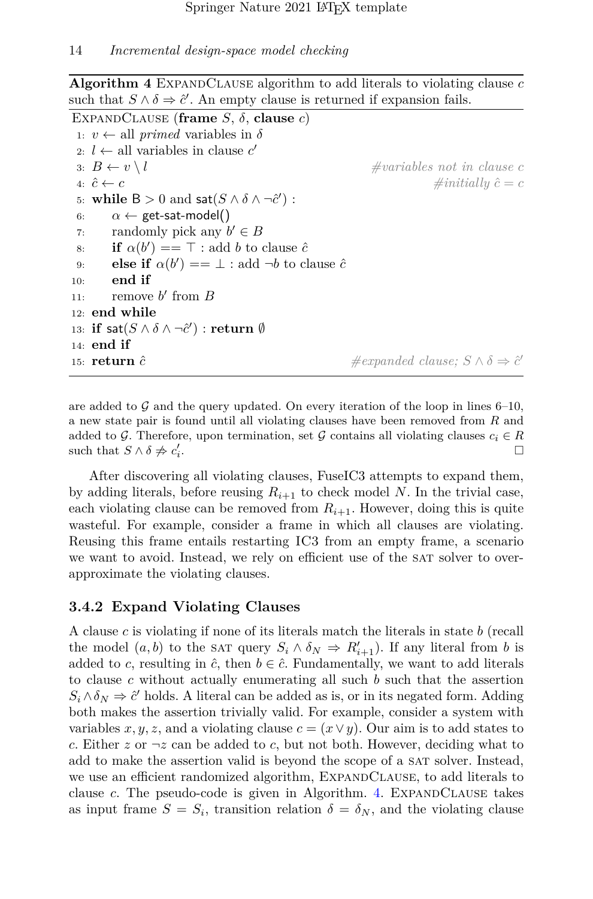<span id="page-13-0"></span>**Algorithm 4** ExpandClause algorithm to add literals to violating clause *c* such that  $S \wedge \delta \Rightarrow \hat{c}'$ . An empty clause is returned if expansion fails.

```
EXPANDCLAUSE (frame S, \delta, clause c)
 1: v \leftarrow all primed variables in \delta2: l \leftarrow all variables in clause c'3: B \leftarrow v \setminus l #variables not in clause c
4: \hat{c} \leftarrow c \#initial|w\hat{c} = c5: while B > 0 and \text{sat}(S \wedge \delta \wedge \neg \hat{c}'):
6: \alpha \leftarrow get-sat-model()
 7: randomly pick any b' \in B8: if \alpha(b') = \top: add b to clause \hat{c}9: else if \alpha(b') = \bot: add \neg b to clause \hat{c}10: end if
11: remove b' from B12: end while
13: \textbf{if} \; \textbf{sat}(S \land \delta \land \neg \hat{c}') : \textbf{return} \; \emptyset14: end if
15: return cˆ #expanded clause; S ∧ δ ⇒ cˆ
′
```
are added to G and the query updated. On every iteration of the loop in lines  $6-10$ , a new state pair is found until all violating clauses have been removed from *R* and added to G. Therefore, upon termination, set G contains all violating clauses  $c_i \in R$ <br>such that  $S \wedge \delta \neq c'$ . such that  $S \wedge \delta \neq c'_i$ . □

After discovering all violating clauses, FuseIC3 attempts to expand them, by adding literals, before reusing  $R_{i+1}$  to check model N. In the trivial case, each violating clause can be removed from  $R_{i+1}$ . However, doing this is quite wasteful. For example, consider a frame in which all clauses are violating. Reusing this frame entails restarting IC3 from an empty frame, a scenario we want to avoid. Instead, we rely on efficient use of the SAT solver to overapproximate the violating clauses.

#### **3.4.2 Expand Violating Clauses**

A clause *c* is violating if none of its literals match the literals in state *b* (recall the model  $(a, b)$  to the sat query  $S_i \wedge \delta_N \Rightarrow R'_{i+1}$ . If any literal from *b* is added to *c*, resulting in  $\hat{c}$ , then  $b \in \hat{c}$ . Fundamentally, we want to add literals to clause *c* without actually enumerating all such *b* such that the assertion  $S_i \wedge \delta_N \Rightarrow \hat{c}'$  holds. A literal can be added as is, or in its negated form. Adding both makes the assertion trivially valid. For example, consider a system with variables *x*, *y*, *z*, and a violating clause  $c = (x \lor y)$ . Our aim is to add states to *c*. Either  $z$  or  $\neg z$  can be added to *c*, but not both. However, deciding what to add to make the assertion valid is beyond the scope of a SAT solver. Instead, we use an efficient randomized algorithm, EXPANDCLAUSE, to add literals to clause *c*. The pseudo-code is given in Algorithm. [4.](#page-13-0) EXPANDCLAUSE takes as input frame  $S = S_i$ , transition relation  $\delta = \delta_N$ , and the violating clause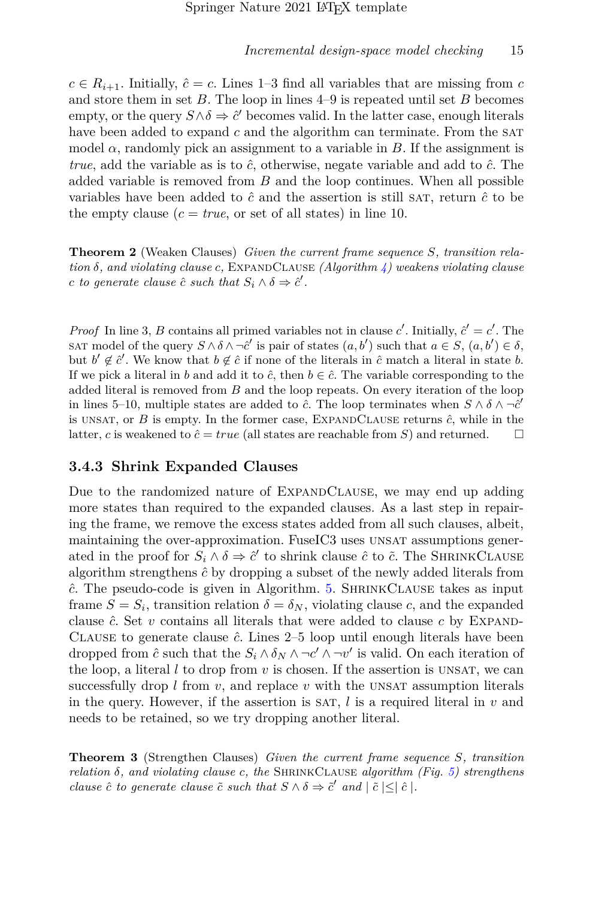$c \in R_{i+1}$ . Initially,  $\hat{c} = c$ . Lines 1–3 find all variables that are missing from *c* and store them in set *B*. The loop in lines 4–9 is repeated until set *B* becomes empty, or the query  $S \wedge \delta \Rightarrow \hat{c}'$  becomes valid. In the latter case, enough literals have been added to expand  $c$  and the algorithm can terminate. From the SAT model *α*, randomly pick an assignment to a variable in *B*. If the assignment is *true*, add the variable as is to  $\hat{c}$ , otherwise, negate variable and add to  $\hat{c}$ . The added variable is removed from *B* and the loop continues. When all possible variables have been added to  $\hat{c}$  and the assertion is still SAT, return  $\hat{c}$  to be the empty clause  $(c = true, \text{ or set of all states})$  in line 10.

<span id="page-14-0"></span>**Theorem 2** (Weaken Clauses) *Given the current frame sequence S, transition rela* $t$ *ion*  $\delta$ *, and violating clause c,* EXPANDCLAUSE *(Algorithm [4\)](#page-13-0)* weakens violating clause *c to generate clause*  $\hat{c}$  *such that*  $S_i \wedge \delta \Rightarrow \hat{c}'$ .

*Proof* In line 3, *B* contains all primed variables not in clause *c*'. Initially,  $\hat{c}' = c'$ . The SAT model of the query  $S \wedge \delta \wedge \neg \hat{c}'$  is pair of states  $(a, b')$  such that  $a \in S$ ,  $(a, b') \in \delta$ , but  $b' \notin \hat{c}'$ . We know that  $b \notin \hat{c}$  if none of the literals in  $\hat{c}$  match a literal in state *b*. If we pick a literal in *b* and add it to  $\hat{c}$ , then  $b \in \hat{c}$ . The variable corresponding to the added literal is removed from *B* and the loop repeats. On every iteration of the loop in lines 5–10, multiple states are added to  $\hat{c}$ . The loop terminates when  $S \wedge \delta \wedge \neg \hat{c}'$ is unsat, or  $B$  is empty. In the former case, EXPANDCLAUSE returns  $\hat{c}$ , while in the latter, *c* is weakened to  $\hat{c} = true$  (all states are reachable from *S*) and returned.  $\Box$ 

#### **3.4.3 Shrink Expanded Clauses**

Due to the randomized nature of EXPANDCLAUSE, we may end up adding more states than required to the expanded clauses. As a last step in repairing the frame, we remove the excess states added from all such clauses, albeit, maintaining the over-approximation. FuseIC3 uses unsat assumptions generated in the proof for  $S_i \wedge \delta \Rightarrow \hat{c}'$  to shrink clause  $\hat{c}$  to  $\tilde{c}$ . The SHRINKCLAUSE algorithm strengthens  $\hat{c}$  by dropping a subset of the newly added literals from *c*ˆ. The pseudo-code is given in Algorithm. [5.](#page-15-0) ShrinkClause takes as input frame  $S = S_i$ , transition relation  $\delta = \delta_N$ , violating clause *c*, and the expanded clause  $\hat{c}$ . Set  $v$  contains all literals that were added to clause  $c$  by EXPAND-CLAUSE to generate clause  $\hat{c}$ . Lines 2–5 loop until enough literals have been dropped from  $\hat{c}$  such that the  $S_i \wedge \delta_N \wedge \neg c' \wedge \neg v'$  is valid. On each iteration of the loop, a literal  $l$  to drop from  $v$  is chosen. If the assertion is UNSAT, we can successfully drop  $l$  from  $v$ , and replace  $v$  with the UNSAT assumption literals in the query. However, if the assertion is SAT,  $l$  is a required literal in  $v$  and needs to be retained, so we try dropping another literal.

<span id="page-14-1"></span>**Theorem 3** (Strengthen Clauses) *Given the current frame sequence S, transition relation*  $\delta$ *, and violating clause c, the* SHRINKCLAUSE *algorithm (Fig.* [5\)](#page-15-0) strengthens *clause*  $\hat{c}$  *to generate clause*  $\tilde{c}$  *such that*  $S \wedge \delta \Rightarrow \tilde{c}'$  *and*  $|\tilde{c}| \leq |\hat{c}|$ *.*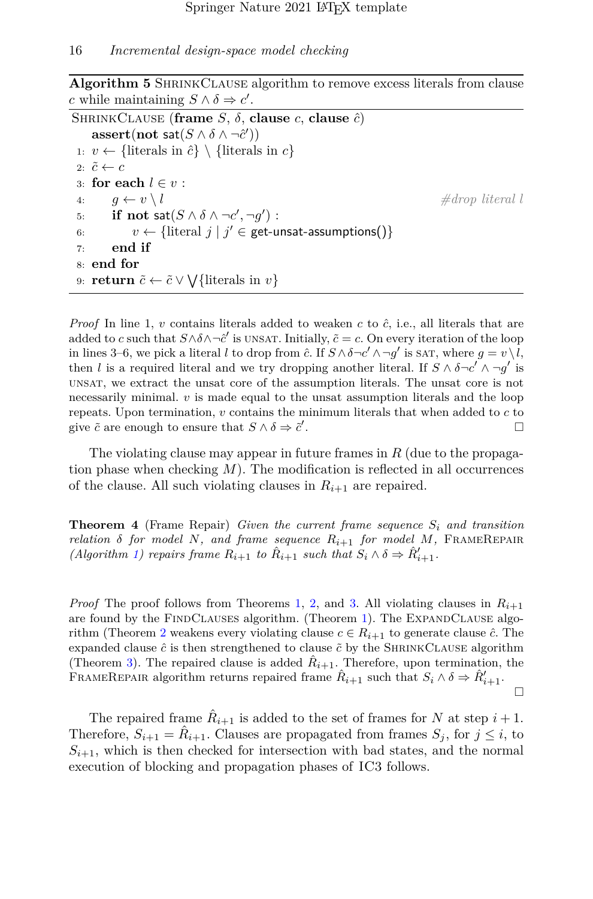<span id="page-15-0"></span>**Algorithm 5** SHRINKCLAUSE algorithm to remove excess literals from clause *c* while maintaining  $S \wedge \delta \Rightarrow c'$ .

```
SHRINKCLAUSE (frame S, \delta, clause c, clause \hat{c})
     \textbf{assert}(\textbf{not} \; \textbf{sat}(S \land \delta \land \lnot \hat{c}'))1: v \leftarrow \{\text{literals in } \hat{c}\} \setminus \{\text{literals in } c\}2: \tilde{c} \leftarrow c3: for each l \in v :
 4: q \leftarrow v \setminus l #drop literal l
 5: if not \mathsf{sat}(S \land \delta \land \neg c', \neg g') :
 6: v \leftarrow \{\text{literal } j \mid j' \in \text{get-unsat-assumptions}()\}7: end if
 8: end for
 9: return \tilde{c} \leftarrow \tilde{c} \vee \bigvee \{\text{literals in } v\}
```
*Proof* In line 1, *v* contains literals added to weaken *c* to  $\hat{c}$ , i.e., all literals that are added to *c* such that  $S \wedge \delta \wedge \neg \hat{c}'$  is unsat. Initially,  $\tilde{c} = c$ . On every iteration of the loop in lines 3–6, we pick a literal *l* to drop from  $\hat{c}$ . If  $S \wedge \delta \neg c' \wedge \neg g'$  is sat, where  $g = v \setminus l$ , then *l* is a required literal and we try dropping another literal. If  $S \wedge \delta \neg c' \wedge \neg g'$  is unsat, we extract the unsat core of the assumption literals. The unsat core is not necessarily minimal.  $v$  is made equal to the unsat assumption literals and the loop repeats. Upon termination, *v* contains the minimum literals that when added to *c* to give  $\tilde{c}$  are enough to ensure that  $S \wedge \delta \Rightarrow \tilde{c}'$ . □ □

The violating clause may appear in future frames in *R* (due to the propagation phase when checking *M*). The modification is reflected in all occurrences of the clause. All such violating clauses in  $R_{i+1}$  are repaired.

**Theorem 4** (Frame Repair) *Given the current frame sequence S<sup>i</sup> and transition relation*  $\delta$  *for model*  $N$ *, and frame sequence*  $R_{i+1}$  *for model*  $M$ *,* FRAMEREPAIR *(Algorithm [1\)](#page-9-0) repairs frame*  $R_{i+1}$  *to*  $\hat{R}_{i+1}$  *such that*  $S_i \wedge \delta \Rightarrow \hat{R}'_{i+1}$ *.* 

*Proof* The proof follows from Theorems [1,](#page-12-0) [2,](#page-14-0) and [3.](#page-14-1) All violating clauses in  $R_{i+1}$ are found by the FINDCLAUSES algorithm. (Theorem [1\)](#page-12-0). The EXPANDCLAUSE algo-rithm (Theorem [2](#page-14-0) weakens every violating clause  $c \in R_{i+1}$  to generate clause  $\hat{c}$ . The expanded clause  $\hat{c}$  is then strengthened to clause  $\tilde{c}$  by the SHRINKCLAUSE algorithm (Theorem [3\)](#page-14-1). The repaired clause is added  $\hat{R}_{i+1}$ . Therefore, upon termination, the FRAMEREPAIR algorithm returns repaired frame  $\hat{R}_{i+1}$  such that  $S_i \wedge \delta \Rightarrow \hat{R}'_{i+1}$ .  $\Box$ 

The repaired frame  $\hat{R}_{i+1}$  is added to the set of frames for *N* at step  $i+1$ . Therefore,  $S_{i+1} = \hat{R}_{i+1}$ . Clauses are propagated from frames  $S_j$ , for  $j \leq i$ , to  $S_{i+1}$ , which is then checked for intersection with bad states, and the normal execution of blocking and propagation phases of IC3 follows.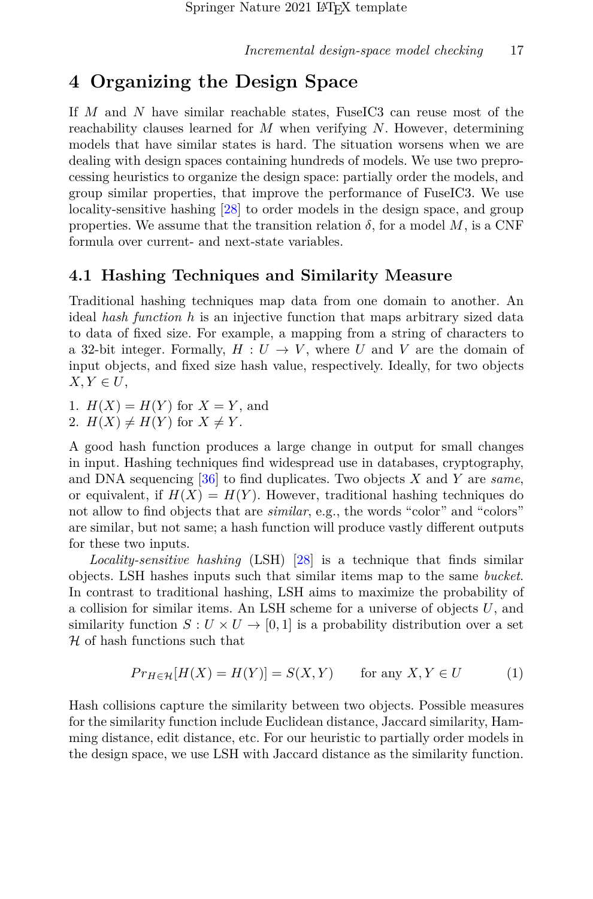# <span id="page-16-1"></span>**4 Organizing the Design Space**

If *M* and *N* have similar reachable states, FuseIC3 can reuse most of the reachability clauses learned for *M* when verifying *N*. However, determining models that have similar states is hard. The situation worsens when we are dealing with design spaces containing hundreds of models. We use two preprocessing heuristics to organize the design space: partially order the models, and group similar properties, that improve the performance of FuseIC3. We use locality-sensitive hashing [\[28\]](#page-28-6) to order models in the design space, and group properties. We assume that the transition relation  $\delta$ , for a model M, is a CNF formula over current- and next-state variables.

### <span id="page-16-0"></span>**4.1 Hashing Techniques and Similarity Measure**

Traditional hashing techniques map data from one domain to another. An ideal *hash function h* is an injective function that maps arbitrary sized data to data of fixed size. For example, a mapping from a string of characters to a 32-bit integer. Formally,  $H: U \to V$ , where *U* and *V* are the domain of input objects, and fixed size hash value, respectively. Ideally, for two objects  $X, Y \in U$ ,

1.  $H(X) = H(Y)$  for  $X = Y$ , and

2. 
$$
H(X) \neq H(Y)
$$
 for  $X \neq Y$ .

A good hash function produces a large change in output for small changes in input. Hashing techniques find widespread use in databases, cryptography, and DNA sequencing [\[36\]](#page-29-4) to find duplicates. Two objects *X* and *Y* are *same*, or equivalent, if  $H(X) = H(Y)$ . However, traditional hashing techniques do not allow to find objects that are *similar*, e.g., the words "color" and "colors" are similar, but not same; a hash function will produce vastly different outputs for these two inputs.

*Locality-sensitive hashing* (LSH) [\[28\]](#page-28-6) is a technique that finds similar objects. LSH hashes inputs such that similar items map to the same *bucket*. In contrast to traditional hashing, LSH aims to maximize the probability of a collision for similar items. An LSH scheme for a universe of objects *U*, and similarity function  $S: U \times U \rightarrow [0,1]$  is a probability distribution over a set  $H$  of hash functions such that

$$
Pr_{H \in \mathcal{H}}[H(X) = H(Y)] = S(X, Y) \quad \text{for any } X, Y \in U \tag{1}
$$

Hash collisions capture the similarity between two objects. Possible measures for the similarity function include Euclidean distance, Jaccard similarity, Hamming distance, edit distance, etc. For our heuristic to partially order models in the design space, we use LSH with Jaccard distance as the similarity function.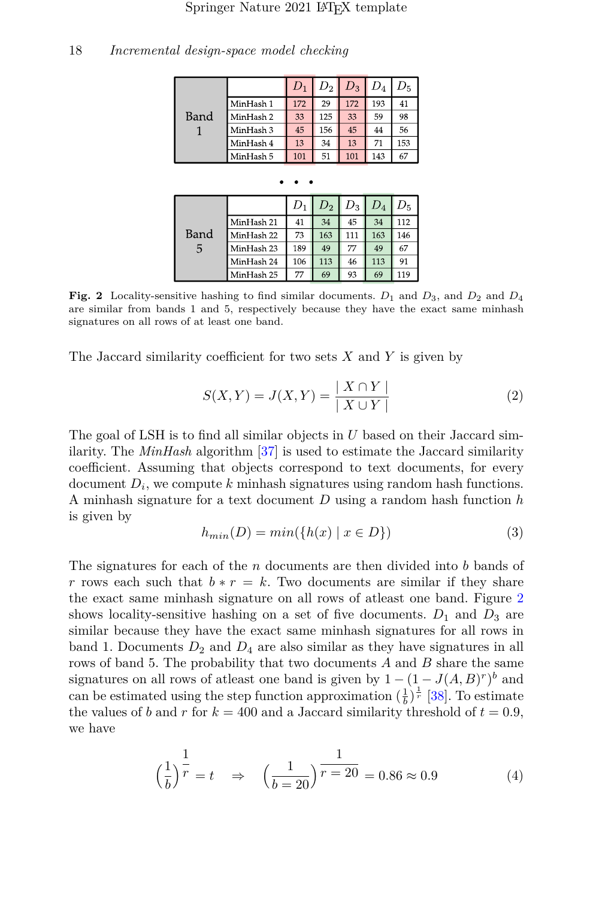| 18 | Incremental design-space model checking |  |
|----|-----------------------------------------|--|
|----|-----------------------------------------|--|

| Band |           | $D_1$ | $D_2$ | $D_3$ | $D_4$ | $D_5\,$ |
|------|-----------|-------|-------|-------|-------|---------|
|      | MinHash 1 | 172   | 29    | 172   | 193   | 41      |
|      | MinHash 2 | 33    | 125   | 33    | 59    | 98      |
|      | MinHash 3 | 45    | 156   | 45    | 44    | 56      |
|      | MinHash 4 | 13    | 34    | 13    | 71    | 153     |
|      | MinHash 5 | 101   | 51    | 101   | 143   | 67      |

| Band<br>5 |            |     | $D_2$ | $D_3$ | $D_{4}$ |     |
|-----------|------------|-----|-------|-------|---------|-----|
|           | MinHash 21 | 41  | 34    | 45    | 34      | 112 |
|           | MinHash 22 | 73  | 163   | 111   | 163     | 146 |
|           | MinHash 23 | 189 | 49    | 77    | 49      | 67  |
|           | MinHash 24 | 106 | 113   | 46    | 113     | 91  |
|           | MinHash 25 | 77  | 69    | 93    | 69      | 119 |

<span id="page-17-0"></span>**Fig. 2** Locality-sensitive hashing to find similar documents. *D*<sup>1</sup> and *D*3, and *D*<sup>2</sup> and *D*<sup>4</sup> are similar from bands 1 and 5, respectively because they have the exact same minhash signatures on all rows of at least one band.

The Jaccard similarity coefficient for two sets *X* and *Y* is given by

$$
S(X,Y) = J(X,Y) = \frac{|X \cap Y|}{|X \cup Y|}
$$
\n<sup>(2)</sup>

The goal of LSH is to find all similar objects in *U* based on their Jaccard similarity. The *MinHash* algorithm [\[37\]](#page-29-5) is used to estimate the Jaccard similarity coefficient. Assuming that objects correspond to text documents, for every document  $D_i$ , we compute *k* minhash signatures using random hash functions. A minhash signature for a text document *D* using a random hash function *h* is given by

$$
h_{min}(D) = min(\{h(x) \mid x \in D\})
$$
\n<sup>(3)</sup>

The signatures for each of the *n* documents are then divided into *b* bands of *r* rows each such that  $b * r = k$ . Two documents are similar if they share the exact same minhash signature on all rows of atleast one band. Figure [2](#page-17-0) shows locality-sensitive hashing on a set of five documents.  $D_1$  and  $D_3$  are similar because they have the exact same minhash signatures for all rows in band 1. Documents  $D_2$  and  $D_4$  are also similar as they have signatures in all rows of band 5. The probability that two documents *A* and *B* share the same signatures on all rows of at least one band is given by  $1 - (1 - J(A, B)^r)^b$  and can be estimated using the step function approximation  $(\frac{1}{b})^{\frac{1}{r}}$  [\[38\]](#page-29-6). To estimate the values of *b* and *r* for  $k = 400$  and a Jaccard similarity threshold of  $t = 0.9$ , we have

$$
\left(\frac{1}{b}\right)^{\frac{1}{r}} = t \quad \Rightarrow \quad \left(\frac{1}{b=20}\right)^{\frac{1}{r=20}} = 0.86 \approx 0.9 \tag{4}
$$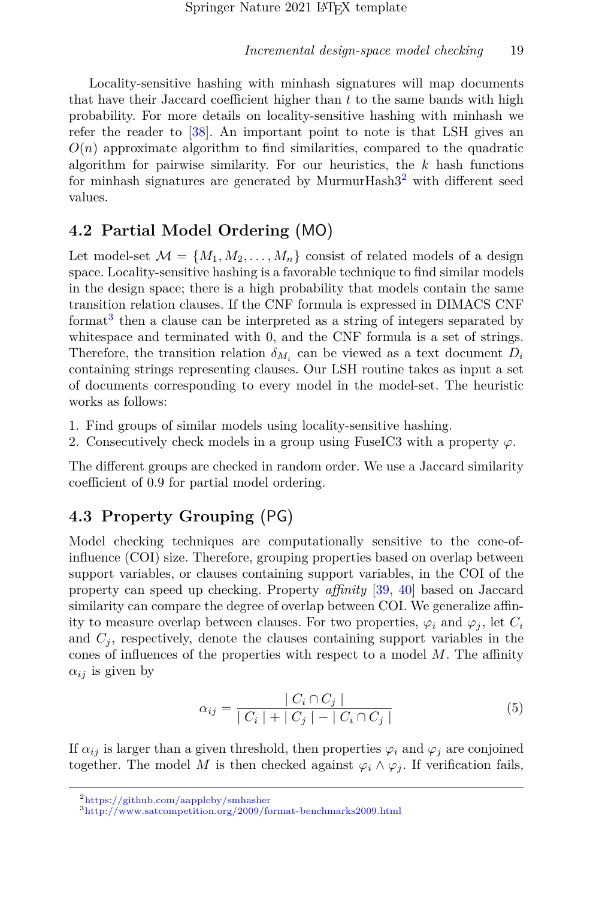Locality-sensitive hashing with minhash signatures will map documents that have their Jaccard coefficient higher than *t* to the same bands with high probability. For more details on locality-sensitive hashing with minhash we refer the reader to [\[38\]](#page-29-6). An important point to note is that LSH gives an  $O(n)$  approximate algorithm to find similarities, compared to the quadratic algorithm for pairwise similarity. For our heuristics, the *k* hash functions for minhash signatures are generated by MurmurHash $3<sup>2</sup>$  $3<sup>2</sup>$  $3<sup>2</sup>$  with different seed values.

## <span id="page-18-0"></span>**4.2 Partial Model Ordering** (MO)

Let model-set  $\mathcal{M} = \{M_1, M_2, \ldots, M_n\}$  consist of related models of a design space. Locality-sensitive hashing is a favorable technique to find similar models in the design space; there is a high probability that models contain the same transition relation clauses. If the CNF formula is expressed in DIMACS CNF format<sup>[3](#page-18-3)</sup> then a clause can be interpreted as a string of integers separated by whitespace and terminated with 0, and the CNF formula is a set of strings. Therefore, the transition relation  $\delta_{M_i}$  can be viewed as a text document  $D_i$ containing strings representing clauses. Our LSH routine takes as input a set of documents corresponding to every model in the model-set. The heuristic works as follows:

- 1. Find groups of similar models using locality-sensitive hashing.
- 2. Consecutively check models in a group using FuseIC3 with a property  $\varphi$ .

The different groups are checked in random order. We use a Jaccard similarity coefficient of 0.9 for partial model ordering.

## <span id="page-18-1"></span>**4.3 Property Grouping** (PG)

Model checking techniques are computationally sensitive to the cone-ofinfluence (COI) size. Therefore, grouping properties based on overlap between support variables, or clauses containing support variables, in the COI of the property can speed up checking. Property *affinity* [\[39,](#page-29-7) [40\]](#page-29-8) based on Jaccard similarity can compare the degree of overlap between COI. We generalize affinity to measure overlap between clauses. For two properties,  $\varphi_i$  and  $\varphi_j$ , let  $C_i$ and  $C_i$ , respectively, denote the clauses containing support variables in the cones of influences of the properties with respect to a model *M*. The affinity  $\alpha_{ij}$  is given by

$$
\alpha_{ij} = \frac{|C_i \cap C_j|}{|C_i| + |C_j| - |C_i \cap C_j|}
$$
\n(5)

If  $\alpha_{ij}$  is larger than a given threshold, then properties  $\varphi_i$  and  $\varphi_j$  are conjoined together. The model *M* is then checked against  $\varphi_i \wedge \varphi_j$ . If verification fails,

<span id="page-18-2"></span><sup>2</sup><https://github.com/aappleby/smhasher>

<span id="page-18-3"></span><sup>3</sup><http://www.satcompetition.org/2009/format-benchmarks2009.html>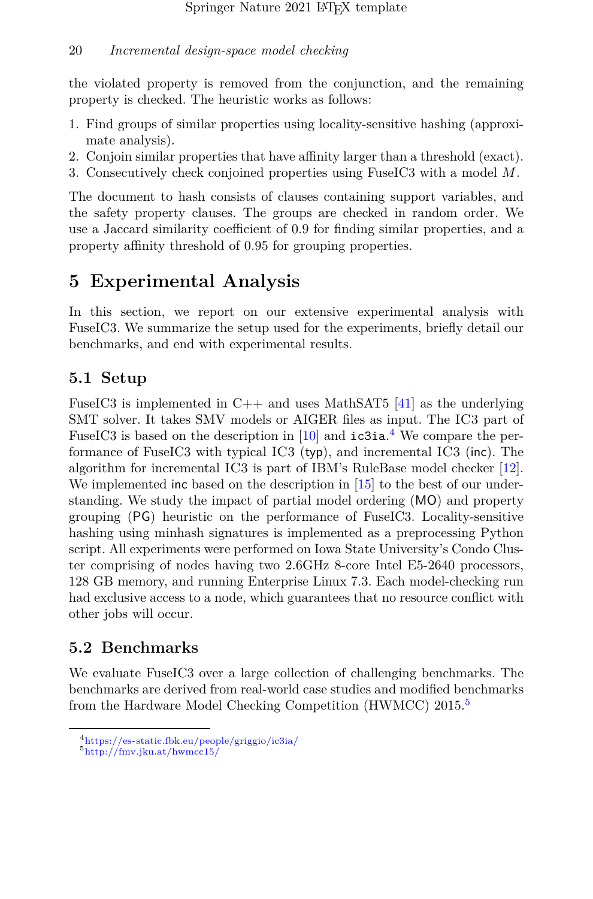the violated property is removed from the conjunction, and the remaining property is checked. The heuristic works as follows:

- 1. Find groups of similar properties using locality-sensitive hashing (approximate analysis).
- 2. Conjoin similar properties that have affinity larger than a threshold (exact).
- 3. Consecutively check conjoined properties using FuseIC3 with a model *M*.

The document to hash consists of clauses containing support variables, and the safety property clauses. The groups are checked in random order. We use a Jaccard similarity coefficient of 0.9 for finding similar properties, and a property affinity threshold of 0.95 for grouping properties.

# <span id="page-19-0"></span>**5 Experimental Analysis**

In this section, we report on our extensive experimental analysis with FuseIC3. We summarize the setup used for the experiments, briefly detail our benchmarks, and end with experimental results.

## **5.1 Setup**

FuseIC3 is implemented in C++ and uses MathSAT5 [\[41\]](#page-29-9) as the underlying SMT solver. It takes SMV models or AIGER files as input. The IC3 part of FuseIC3 is based on the description in  $[10]$  and  $i$ c3ia.<sup>[4](#page-19-1)</sup> We compare the performance of FuseIC3 with typical IC3 (typ), and incremental IC3 (inc). The algorithm for incremental IC3 is part of IBM's RuleBase model checker [\[12\]](#page-27-0). We implemented inc based on the description in  $[15]$  to the best of our understanding. We study the impact of partial model ordering (MO) and property grouping (PG) heuristic on the performance of FuseIC3. Locality-sensitive hashing using minhash signatures is implemented as a preprocessing Python script. All experiments were performed on Iowa State University's Condo Cluster comprising of nodes having two 2.6GHz 8-core Intel E5-2640 processors, 128 GB memory, and running Enterprise Linux 7.3. Each model-checking run had exclusive access to a node, which guarantees that no resource conflict with other jobs will occur.

## **5.2 Benchmarks**

We evaluate FuseIC3 over a large collection of challenging benchmarks. The benchmarks are derived from real-world case studies and modified benchmarks from the Hardware Model Checking Competition (HWMCC) 201[5](#page-19-2).<sup>5</sup>

<span id="page-19-1"></span><sup>4</sup><https://es-static.fbk.eu/people/griggio/ic3ia/>

<span id="page-19-2"></span><sup>5</sup><http://fmv.jku.at/hwmcc15/>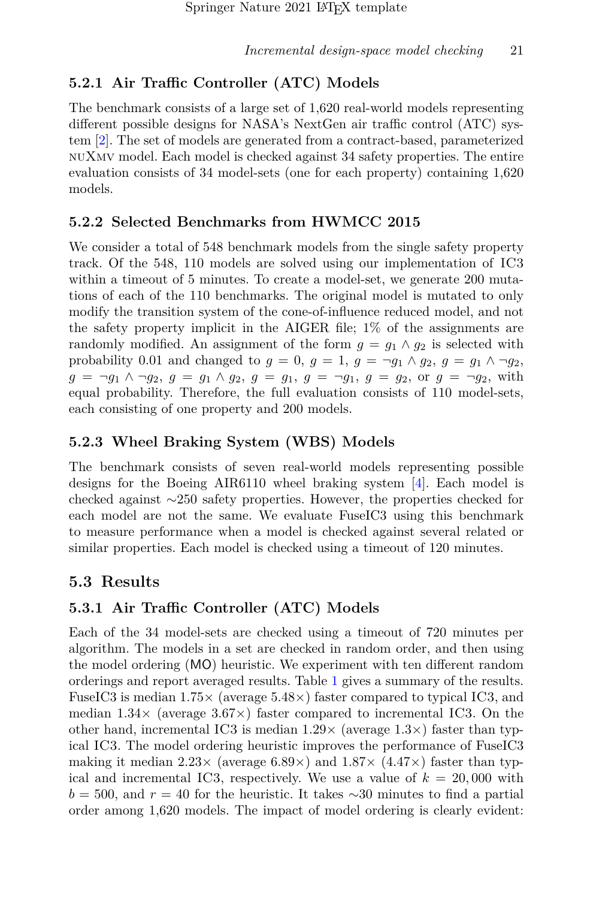# **5.2.1 Air Traffic Controller (ATC) Models**

The benchmark consists of a large set of 1,620 real-world models representing different possible designs for NASA's NextGen air traffic control (ATC) system [\[2\]](#page-25-1). The set of models are generated from a contract-based, parameterized nuXmv model. Each model is checked against 34 safety properties. The entire evaluation consists of 34 model-sets (one for each property) containing 1,620 models.

## **5.2.2 Selected Benchmarks from HWMCC 2015**

We consider a total of 548 benchmark models from the single safety property track. Of the 548, 110 models are solved using our implementation of IC3 within a timeout of 5 minutes. To create a model-set, we generate 200 mutations of each of the 110 benchmarks. The original model is mutated to only modify the transition system of the cone-of-influence reduced model, and not the safety property implicit in the AIGER file; 1% of the assignments are randomly modified. An assignment of the form  $g = g_1 \wedge g_2$  is selected with probability 0.01 and changed to  $g = 0$ ,  $g = 1$ ,  $g = \neg g_1 \land g_2$ ,  $g = g_1 \land \neg g_2$ ,  $g = \neg g_1 \land \neg g_2, g = g_1 \land g_2, g = g_1, g = \neg g_1, g = g_2, \text{ or } g = \neg g_2, \text{ with }$ equal probability. Therefore, the full evaluation consists of 110 model-sets, each consisting of one property and 200 models.

## **5.2.3 Wheel Braking System (WBS) Models**

The benchmark consists of seven real-world models representing possible designs for the Boeing AIR6110 wheel braking system [\[4\]](#page-26-4). Each model is checked against ∼250 safety properties. However, the properties checked for each model are not the same. We evaluate FuseIC3 using this benchmark to measure performance when a model is checked against several related or similar properties. Each model is checked using a timeout of 120 minutes.

## **5.3 Results**

## **5.3.1 Air Traffic Controller (ATC) Models**

Each of the 34 model-sets are checked using a timeout of 720 minutes per algorithm. The models in a set are checked in random order, and then using the model ordering (MO) heuristic. We experiment with ten different random orderings and report averaged results. Table [1](#page-21-0) gives a summary of the results. FuseIC3 is median  $1.75\times$  (average 5.48 $\times$ ) faster compared to typical IC3, and median  $1.34\times$  (average  $3.67\times$ ) faster compared to incremental IC3. On the other hand, incremental IC3 is median  $1.29\times$  (average  $1.3\times$ ) faster than typical IC3. The model ordering heuristic improves the performance of FuseIC3 making it median  $2.23 \times$  (average  $6.89 \times$ ) and  $1.87 \times$  (4.47 $\times$ ) faster than typical and incremental IC3, respectively. We use a value of  $k = 20,000$  with  $b = 500$ , and  $r = 40$  for the heuristic. It takes  $\sim 30$  minutes to find a partial order among 1,620 models. The impact of model ordering is clearly evident: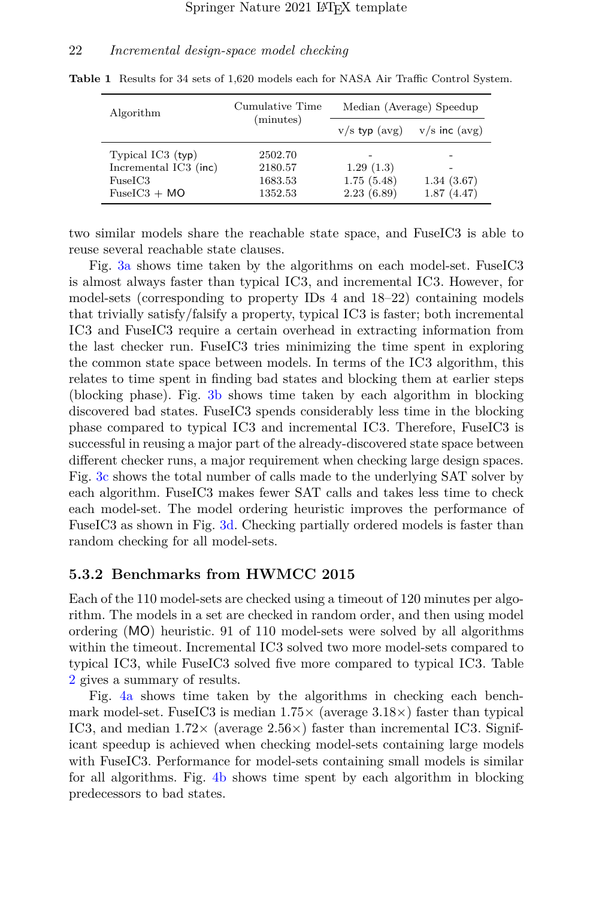<span id="page-21-0"></span>

| Algorithm             | Cumulative Time | Median (Average) Speedup |                   |  |  |
|-----------------------|-----------------|--------------------------|-------------------|--|--|
|                       | (minutes)       | $v/s$ typ $(avg)$        | $v/s$ inc $(avg)$ |  |  |
| Typical $IC3$ (typ)   | 2502.70         |                          |                   |  |  |
| Incremental IC3 (inc) | 2180.57         | 1.29(1.3)                |                   |  |  |
| FuseIC3               | 1683.53         | 1.75(5.48)               | 1.34(3.67)        |  |  |
| $FuseIC3 + MO$        | 1352.53         | 2.23(6.89)               | 1.87(4.47)        |  |  |

**Table 1** Results for 34 sets of 1,620 models each for NASA Air Traffic Control System.

two similar models share the reachable state space, and FuseIC3 is able to reuse several reachable state clauses.

Fig. [3a](#page-22-0) shows time taken by the algorithms on each model-set. FuseIC3 is almost always faster than typical IC3, and incremental IC3. However, for model-sets (corresponding to property IDs 4 and 18–22) containing models that trivially satisfy/falsify a property, typical IC3 is faster; both incremental IC3 and FuseIC3 require a certain overhead in extracting information from the last checker run. FuseIC3 tries minimizing the time spent in exploring the common state space between models. In terms of the IC3 algorithm, this relates to time spent in finding bad states and blocking them at earlier steps (blocking phase). Fig. [3b](#page-22-1) shows time taken by each algorithm in blocking discovered bad states. FuseIC3 spends considerably less time in the blocking phase compared to typical IC3 and incremental IC3. Therefore, FuseIC3 is successful in reusing a major part of the already-discovered state space between different checker runs, a major requirement when checking large design spaces. Fig. [3c](#page-22-2) shows the total number of calls made to the underlying SAT solver by each algorithm. FuseIC3 makes fewer SAT calls and takes less time to check each model-set. The model ordering heuristic improves the performance of FuseIC3 as shown in Fig. [3d.](#page-22-3) Checking partially ordered models is faster than random checking for all model-sets.

#### **5.3.2 Benchmarks from HWMCC 2015**

Each of the 110 model-sets are checked using a timeout of 120 minutes per algorithm. The models in a set are checked in random order, and then using model ordering (MO) heuristic. 91 of 110 model-sets were solved by all algorithms within the timeout. Incremental IC3 solved two more model-sets compared to typical IC3, while FuseIC3 solved five more compared to typical IC3. Table [2](#page-22-4) gives a summary of results.

Fig. [4a](#page-23-0) shows time taken by the algorithms in checking each benchmark model-set. FuseIC3 is median  $1.75 \times$  (average  $3.18 \times$ ) faster than typical IC3, and median  $1.72 \times$  (average  $2.56 \times$ ) faster than incremental IC3. Significant speedup is achieved when checking model-sets containing large models with FuseIC3. Performance for model-sets containing small models is similar for all algorithms. Fig. [4b](#page-23-1) shows time spent by each algorithm in blocking predecessors to bad states.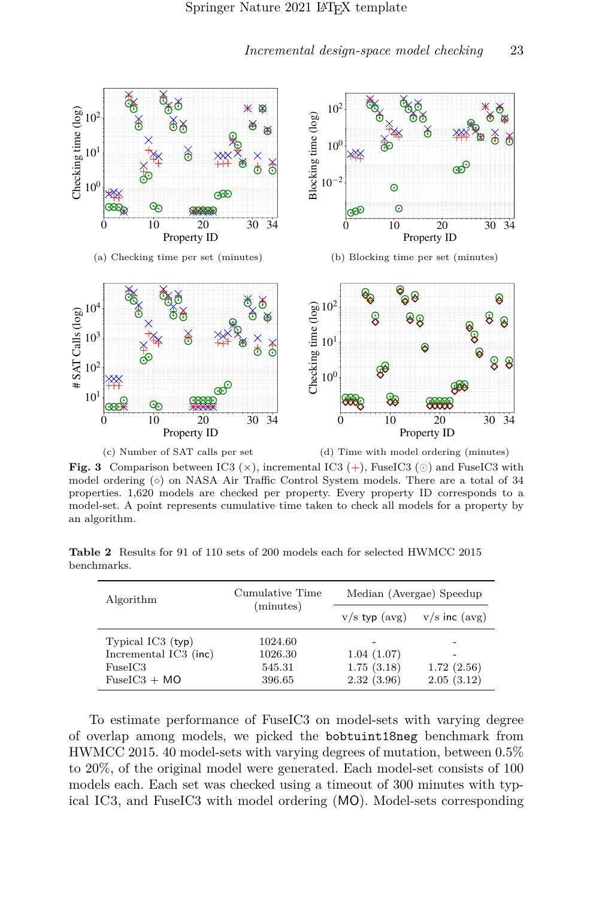<span id="page-22-0"></span>

(c) Number of SAT calls per set

<span id="page-22-3"></span><span id="page-22-1"></span>

<span id="page-22-2"></span>**Fig. 3** Comparison between IC3 ( $\times$ ), incremental IC3 (+), FuseIC3 ( $\odot$ ) and FuseIC3 with model ordering  $(\diamond)$  on NASA Air Traffic Control System models. There are a total of 34 properties. 1,620 models are checked per property. Every property ID corresponds to a model-set. A point represents cumulative time taken to check all models for a property by an algorithm.

**Table 2** Results for 91 of 110 sets of 200 models each for selected HWMCC 2015 benchmarks.

<span id="page-22-4"></span>

| Algorithm                                                                 | Cumulative Time                        | Median (Avergae) Speedup               |                          |  |  |
|---------------------------------------------------------------------------|----------------------------------------|----------------------------------------|--------------------------|--|--|
|                                                                           | (minutes)                              | $v/s$ typ $(avg)$                      | $v/s$ inc $(avg)$        |  |  |
| Typical $IC3$ (typ)<br>Incremental IC3 (inc)<br>FuseIC3<br>$FuseIC3 + MO$ | 1024.60<br>1026.30<br>545.31<br>396.65 | 1.04(1.07)<br>1.75(3.18)<br>2.32(3.96) | 1.72(2.56)<br>2.05(3.12) |  |  |

To estimate performance of FuseIC3 on model-sets with varying degree of overlap among models, we picked the bobtuint18neg benchmark from HWMCC 2015. 40 model-sets with varying degrees of mutation, between 0.5% to 20%, of the original model were generated. Each model-set consists of 100 models each. Each set was checked using a timeout of 300 minutes with typical IC3, and FuseIC3 with model ordering (MO). Model-sets corresponding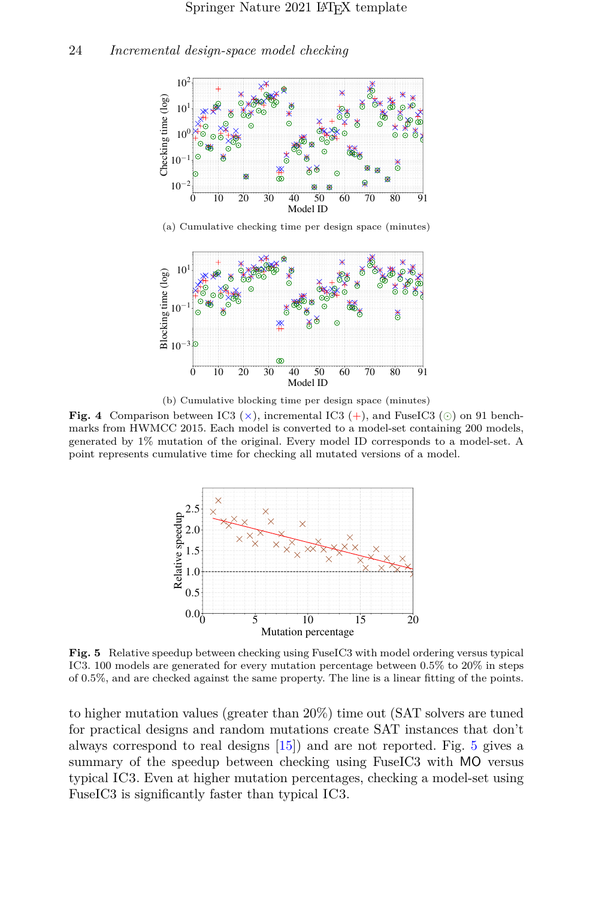<span id="page-23-0"></span>

(a) Cumulative checking time per design space (minutes)

<span id="page-23-1"></span>

(b) Cumulative blocking time per design space (minutes)

**Fig. 4** Comparison between IC3 ( $\times$ ), incremental IC3 (+), and FuseIC3 ( $\odot$ ) on 91 benchmarks from HWMCC 2015. Each model is converted to a model-set containing 200 models, generated by 1% mutation of the original. Every model ID corresponds to a model-set. A point represents cumulative time for checking all mutated versions of a model.



<span id="page-23-2"></span>**Fig. 5** Relative speedup between checking using FuseIC3 with model ordering versus typical IC3. 100 models are generated for every mutation percentage between 0.5% to 20% in steps of 0.5%, and are checked against the same property. The line is a linear fitting of the points.

to higher mutation values (greater than 20%) time out (SAT solvers are tuned for practical designs and random mutations create SAT instances that don't always correspond to real designs [\[15\]](#page-27-3)) and are not reported. Fig. [5](#page-23-2) gives a summary of the speedup between checking using FuseIC3 with MO versus typical IC3. Even at higher mutation percentages, checking a model-set using FuseIC3 is significantly faster than typical IC3.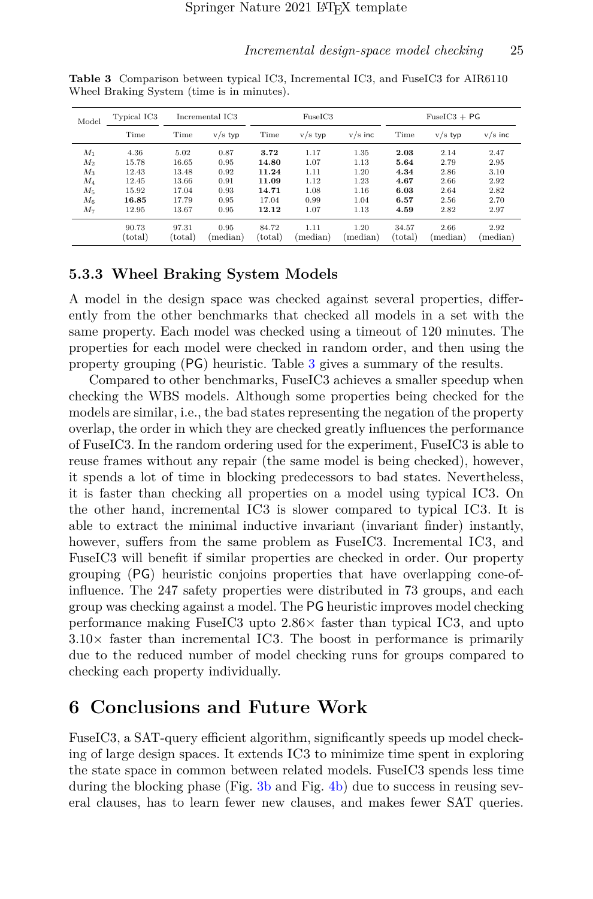| Model   | Typical IC3 | Incremental IC3  |                   | FuseIC3 |                   |           | $FuseIC3 + PG$   |                   |                   |
|---------|-------------|------------------|-------------------|---------|-------------------|-----------|------------------|-------------------|-------------------|
|         | Time        | Time             | $v/s$ typ         | Time    | $v/s$ typ         | $v/s$ inc | Time             | $v/s$ typ         | $v/s$ inc         |
| $M_1$   | 4.36        | 5.02             | 0.87              | 3.72    | 1.17              | 1.35      | 2.03             | 2.14              | 2.47              |
| $M_2$   | 15.78       | 16.65            | 0.95              | 14.80   | 1.07              | 1.13      | 5.64             | 2.79              | 2.95              |
| $M_3$   | 12.43       | 13.48            | 0.92              | 11.24   | 1.11              | 1.20      | 4.34             | 2.86              | 3.10              |
| $M_{4}$ | 12.45       | 13.66            | 0.91              | 11.09   | 1.12              | 1.23      | 4.67             | 2.66              | 2.92              |
| $M_{5}$ | 15.92       | 17.04            | 0.93              | 14.71   | 1.08              | 1.16      | 6.03             | 2.64              | 2.82              |
| $M_6$   | 16.85       | 17.79            | 0.95              | 17.04   | 0.99              | 1.04      | 6.57             | 2.56              | 2.70              |
| $M_7$   | 12.95       | 13.67            | 0.95              | 12.12   | 1.07              | 1.13      | 4.59             | 2.82              | 2.97              |
|         | 90.73       | 97.31            | 0.95              | 84.72   | 1.11              | 1.20      | 34.57            | 2.66              | 2.92              |
|         | (total)     | $_{\rm (total)}$ | $(\text{median})$ | (total) | $(\text{median})$ | (median)  | $_{\rm (total)}$ | $(\text{median})$ | $(\text{median})$ |

<span id="page-24-1"></span>**Table 3** Comparison between typical IC3, Incremental IC3, and FuseIC3 for AIR6110 Wheel Braking System (time is in minutes).

### **5.3.3 Wheel Braking System Models**

A model in the design space was checked against several properties, differently from the other benchmarks that checked all models in a set with the same property. Each model was checked using a timeout of 120 minutes. The properties for each model were checked in random order, and then using the property grouping (PG) heuristic. Table [3](#page-24-1) gives a summary of the results.

Compared to other benchmarks, FuseIC3 achieves a smaller speedup when checking the WBS models. Although some properties being checked for the models are similar, i.e., the bad states representing the negation of the property overlap, the order in which they are checked greatly influences the performance of FuseIC3. In the random ordering used for the experiment, FuseIC3 is able to reuse frames without any repair (the same model is being checked), however, it spends a lot of time in blocking predecessors to bad states. Nevertheless, it is faster than checking all properties on a model using typical IC3. On the other hand, incremental IC3 is slower compared to typical IC3. It is able to extract the minimal inductive invariant (invariant finder) instantly, however, suffers from the same problem as FuseIC3. Incremental IC3, and FuseIC3 will benefit if similar properties are checked in order. Our property grouping (PG) heuristic conjoins properties that have overlapping cone-ofinfluence. The 247 safety properties were distributed in 73 groups, and each group was checking against a model. The PG heuristic improves model checking performance making FuseIC3 upto 2.86× faster than typical IC3, and upto  $3.10\times$  faster than incremental IC3. The boost in performance is primarily due to the reduced number of model checking runs for groups compared to checking each property individually.

# <span id="page-24-0"></span>**6 Conclusions and Future Work**

FuseIC3, a SAT-query efficient algorithm, significantly speeds up model checking of large design spaces. It extends IC3 to minimize time spent in exploring the state space in common between related models. FuseIC3 spends less time during the blocking phase (Fig. [3b](#page-22-1) and Fig. [4b\)](#page-23-1) due to success in reusing several clauses, has to learn fewer new clauses, and makes fewer SAT queries.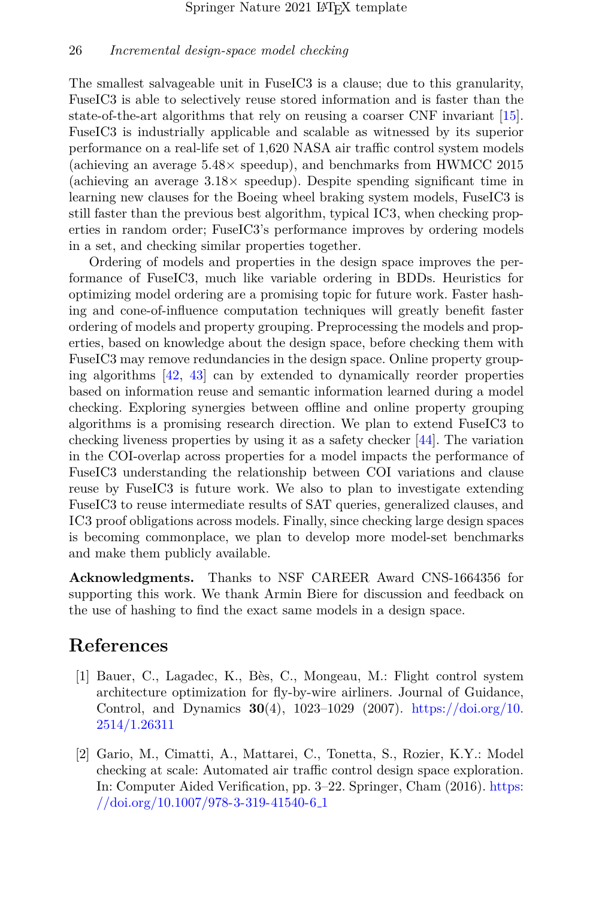The smallest salvageable unit in FuseIC3 is a clause; due to this granularity, FuseIC3 is able to selectively reuse stored information and is faster than the state-of-the-art algorithms that rely on reusing a coarser CNF invariant [\[15\]](#page-27-3). FuseIC3 is industrially applicable and scalable as witnessed by its superior performance on a real-life set of 1,620 NASA air traffic control system models (achieving an average  $5.48\times$  speedup), and benchmarks from HWMCC 2015 (achieving an average  $3.18\times$  speedup). Despite spending significant time in learning new clauses for the Boeing wheel braking system models, FuseIC3 is still faster than the previous best algorithm, typical IC3, when checking properties in random order; FuseIC3's performance improves by ordering models in a set, and checking similar properties together.

Ordering of models and properties in the design space improves the performance of FuseIC3, much like variable ordering in BDDs. Heuristics for optimizing model ordering are a promising topic for future work. Faster hashing and cone-of-influence computation techniques will greatly benefit faster ordering of models and property grouping. Preprocessing the models and properties, based on knowledge about the design space, before checking them with FuseIC3 may remove redundancies in the design space. Online property grouping algorithms [\[42,](#page-29-10) [43\]](#page-30-0) can by extended to dynamically reorder properties based on information reuse and semantic information learned during a model checking. Exploring synergies between offline and online property grouping algorithms is a promising research direction. We plan to extend FuseIC3 to checking liveness properties by using it as a safety checker [\[44\]](#page-30-1). The variation in the COI-overlap across properties for a model impacts the performance of FuseIC3 understanding the relationship between COI variations and clause reuse by FuseIC3 is future work. We also to plan to investigate extending FuseIC3 to reuse intermediate results of SAT queries, generalized clauses, and IC3 proof obligations across models. Finally, since checking large design spaces is becoming commonplace, we plan to develop more model-set benchmarks and make them publicly available.

**Acknowledgments.** Thanks to NSF CAREER Award CNS-1664356 for supporting this work. We thank Armin Biere for discussion and feedback on the use of hashing to find the exact same models in a design space.

## **References**

- <span id="page-25-0"></span>[1] Bauer, C., Lagadec, K., Bès, C., Mongeau, M.: Flight control system architecture optimization for fly-by-wire airliners. Journal of Guidance, Control, and Dynamics **30**(4), 1023–1029 (2007). [https://doi.org/10.](https://doi.org/10.2514/1.26311) [2514/1.26311](https://doi.org/10.2514/1.26311)
- <span id="page-25-1"></span>[2] Gario, M., Cimatti, A., Mattarei, C., Tonetta, S., Rozier, K.Y.: Model checking at scale: Automated air traffic control design space exploration. In: Computer Aided Verification, pp. 3–22. Springer, Cham (2016). [https:](https://doi.org/10.1007/978-3-319-41540-6_1) [//doi.org/10.1007/978-3-319-41540-6](https://doi.org/10.1007/978-3-319-41540-6_1) 1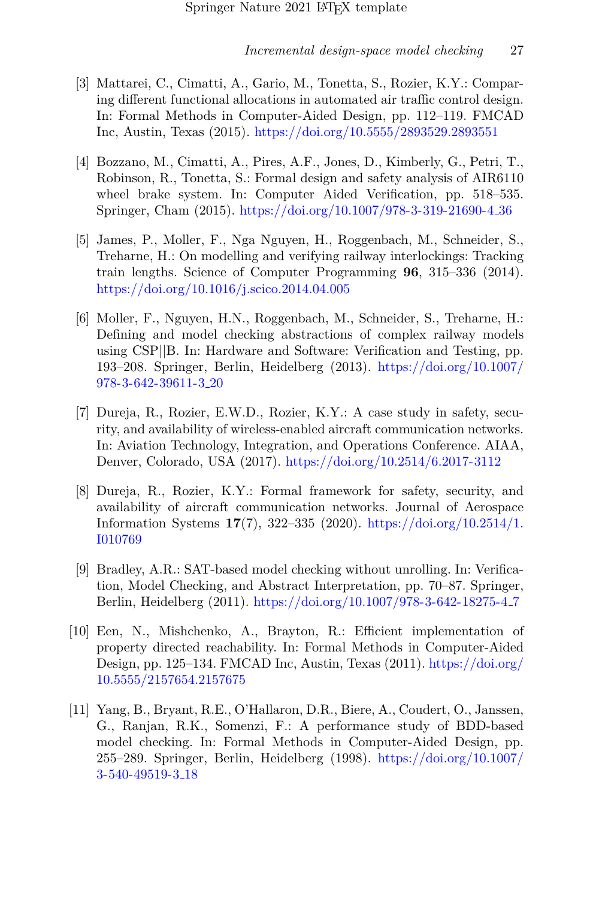- <span id="page-26-0"></span>[3] Mattarei, C., Cimatti, A., Gario, M., Tonetta, S., Rozier, K.Y.: Comparing different functional allocations in automated air traffic control design. In: Formal Methods in Computer-Aided Design, pp. 112–119. FMCAD Inc, Austin, Texas (2015). <https://doi.org/10.5555/2893529.2893551>
- <span id="page-26-4"></span>[4] Bozzano, M., Cimatti, A., Pires, A.F., Jones, D., Kimberly, G., Petri, T., Robinson, R., Tonetta, S.: Formal design and safety analysis of AIR6110 wheel brake system. In: Computer Aided Verification, pp. 518–535. Springer, Cham (2015). [https://doi.org/10.1007/978-3-319-21690-4](https://doi.org/10.1007/978-3-319-21690-4_36) 36
- [5] James, P., Moller, F., Nga Nguyen, H., Roggenbach, M., Schneider, S., Treharne, H.: On modelling and verifying railway interlockings: Tracking train lengths. Science of Computer Programming **96**, 315–336 (2014). <https://doi.org/10.1016/j.scico.2014.04.005>
- [6] Moller, F., Nguyen, H.N., Roggenbach, M., Schneider, S., Treharne, H.: Defining and model checking abstractions of complex railway models using CSP||B. In: Hardware and Software: Verification and Testing, pp. 193–208. Springer, Berlin, Heidelberg (2013). [https://doi.org/10.1007/](https://doi.org/10.1007/978-3-642-39611-3_20) [978-3-642-39611-3](https://doi.org/10.1007/978-3-642-39611-3_20) 20
- [7] Dureja, R., Rozier, E.W.D., Rozier, K.Y.: A case study in safety, security, and availability of wireless-enabled aircraft communication networks. In: Aviation Technology, Integration, and Operations Conference. AIAA, Denver, Colorado, USA (2017). <https://doi.org/10.2514/6.2017-3112>
- <span id="page-26-1"></span>[8] Dureja, R., Rozier, K.Y.: Formal framework for safety, security, and availability of aircraft communication networks. Journal of Aerospace Information Systems **17**(7), 322–335 (2020). [https://doi.org/10.2514/1.](https://doi.org/10.2514/1.I010769) [I010769](https://doi.org/10.2514/1.I010769)
- <span id="page-26-2"></span>[9] Bradley, A.R.: SAT-based model checking without unrolling. In: Verification, Model Checking, and Abstract Interpretation, pp. 70–87. Springer, Berlin, Heidelberg (2011). [https://doi.org/10.1007/978-3-642-18275-4](https://doi.org/10.1007/978-3-642-18275-4_7) 7
- <span id="page-26-3"></span>[10] Een, N., Mishchenko, A., Brayton, R.: Efficient implementation of property directed reachability. In: Formal Methods in Computer-Aided Design, pp. 125–134. FMCAD Inc, Austin, Texas (2011). [https://doi.org/](https://doi.org/10.5555/2157654.2157675) [10.5555/2157654.2157675](https://doi.org/10.5555/2157654.2157675)
- <span id="page-26-5"></span>[11] Yang, B., Bryant, R.E., O'Hallaron, D.R., Biere, A., Coudert, O., Janssen, G., Ranjan, R.K., Somenzi, F.: A performance study of BDD-based model checking. In: Formal Methods in Computer-Aided Design, pp. 255–289. Springer, Berlin, Heidelberg (1998). [https://doi.org/10.1007/](https://doi.org/10.1007/3-540-49519-3_18) [3-540-49519-3](https://doi.org/10.1007/3-540-49519-3_18) 18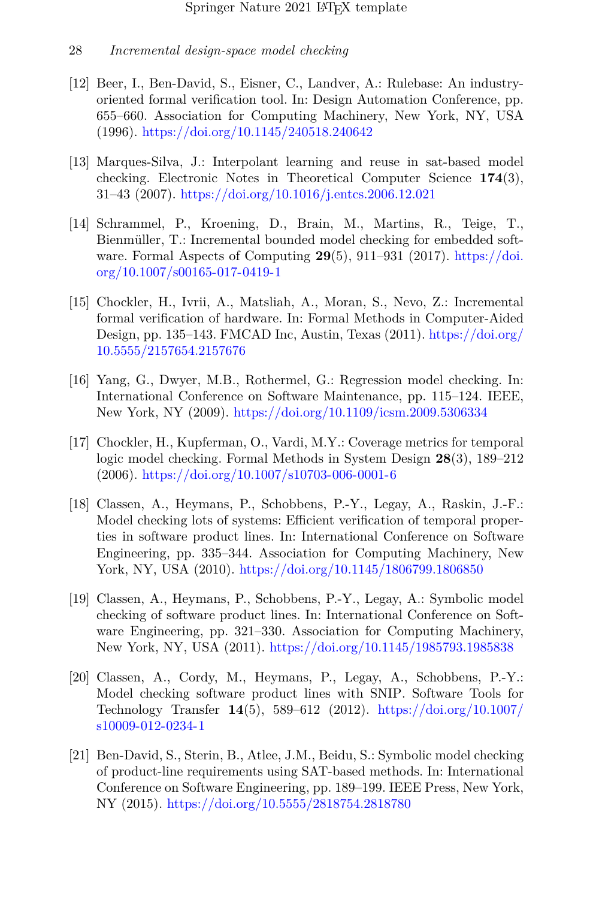- <span id="page-27-0"></span>[12] Beer, I., Ben-David, S., Eisner, C., Landver, A.: Rulebase: An industryoriented formal verification tool. In: Design Automation Conference, pp. 655–660. Association for Computing Machinery, New York, NY, USA (1996). <https://doi.org/10.1145/240518.240642>
- <span id="page-27-1"></span>[13] Marques-Silva, J.: Interpolant learning and reuse in sat-based model checking. Electronic Notes in Theoretical Computer Science **174**(3), 31–43 (2007). <https://doi.org/10.1016/j.entcs.2006.12.021>
- <span id="page-27-2"></span>[14] Schrammel, P., Kroening, D., Brain, M., Martins, R., Teige, T., Bienmüller, T.: Incremental bounded model checking for embedded software. Formal Aspects of Computing **29**(5), 911–931 (2017). [https://doi.](https://doi.org/10.1007/s00165-017-0419-1) [org/10.1007/s00165-017-0419-1](https://doi.org/10.1007/s00165-017-0419-1)
- <span id="page-27-3"></span>[15] Chockler, H., Ivrii, A., Matsliah, A., Moran, S., Nevo, Z.: Incremental formal verification of hardware. In: Formal Methods in Computer-Aided Design, pp. 135–143. FMCAD Inc, Austin, Texas (2011). [https://doi.org/](https://doi.org/10.5555/2157654.2157676) [10.5555/2157654.2157676](https://doi.org/10.5555/2157654.2157676)
- <span id="page-27-4"></span>[16] Yang, G., Dwyer, M.B., Rothermel, G.: Regression model checking. In: International Conference on Software Maintenance, pp. 115–124. IEEE, New York, NY (2009). <https://doi.org/10.1109/icsm.2009.5306334>
- <span id="page-27-5"></span>[17] Chockler, H., Kupferman, O., Vardi, M.Y.: Coverage metrics for temporal logic model checking. Formal Methods in System Design **28**(3), 189–212 (2006). <https://doi.org/10.1007/s10703-006-0001-6>
- <span id="page-27-6"></span>[18] Classen, A., Heymans, P., Schobbens, P.-Y., Legay, A., Raskin, J.-F.: Model checking lots of systems: Efficient verification of temporal properties in software product lines. In: International Conference on Software Engineering, pp. 335–344. Association for Computing Machinery, New York, NY, USA (2010). <https://doi.org/10.1145/1806799.1806850>
- [19] Classen, A., Heymans, P., Schobbens, P.-Y., Legay, A.: Symbolic model checking of software product lines. In: International Conference on Software Engineering, pp. 321–330. Association for Computing Machinery, New York, NY, USA (2011). <https://doi.org/10.1145/1985793.1985838>
- [20] Classen, A., Cordy, M., Heymans, P., Legay, A., Schobbens, P.-Y.: Model checking software product lines with SNIP. Software Tools for Technology Transfer **14**(5), 589–612 (2012). [https://doi.org/10.1007/](https://doi.org/10.1007/s10009-012-0234-1) [s10009-012-0234-1](https://doi.org/10.1007/s10009-012-0234-1)
- <span id="page-27-7"></span>[21] Ben-David, S., Sterin, B., Atlee, J.M., Beidu, S.: Symbolic model checking of product-line requirements using SAT-based methods. In: International Conference on Software Engineering, pp. 189–199. IEEE Press, New York, NY (2015). <https://doi.org/10.5555/2818754.2818780>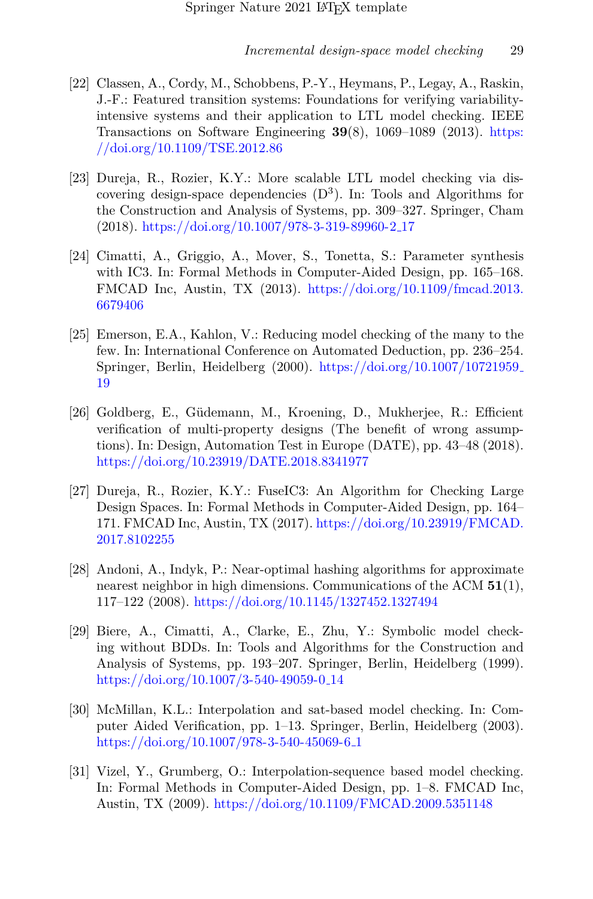- <span id="page-28-0"></span>[22] Classen, A., Cordy, M., Schobbens, P.-Y., Heymans, P., Legay, A., Raskin, J.-F.: Featured transition systems: Foundations for verifying variabilityintensive systems and their application to LTL model checking. IEEE Transactions on Software Engineering **39**(8), 1069–1089 (2013). [https:](https://doi.org/10.1109/TSE.2012.86) [//doi.org/10.1109/TSE.2012.86](https://doi.org/10.1109/TSE.2012.86)
- <span id="page-28-1"></span>[23] Dureja, R., Rozier, K.Y.: More scalable LTL model checking via discovering design-space dependencies  $(D^3)$ . In: Tools and Algorithms for the Construction and Analysis of Systems, pp. 309–327. Springer, Cham (2018). [https://doi.org/10.1007/978-3-319-89960-2](https://doi.org/10.1007/978-3-319-89960-2_17) 17
- <span id="page-28-2"></span>[24] Cimatti, A., Griggio, A., Mover, S., Tonetta, S.: Parameter synthesis with IC3. In: Formal Methods in Computer-Aided Design, pp. 165–168. FMCAD Inc, Austin, TX (2013). [https://doi.org/10.1109/fmcad.2013.](https://doi.org/10.1109/fmcad.2013.6679406) [6679406](https://doi.org/10.1109/fmcad.2013.6679406)
- <span id="page-28-3"></span>[25] Emerson, E.A., Kahlon, V.: Reducing model checking of the many to the few. In: International Conference on Automated Deduction, pp. 236–254. Springer, Berlin, Heidelberg (2000). [https://doi.org/10.1007/10721959](https://doi.org/10.1007/10721959_19) [19](https://doi.org/10.1007/10721959_19)
- <span id="page-28-4"></span>[26] Goldberg, E., G¨udemann, M., Kroening, D., Mukherjee, R.: Efficient verification of multi-property designs (The benefit of wrong assumptions). In: Design, Automation Test in Europe (DATE), pp. 43–48 (2018). <https://doi.org/10.23919/DATE.2018.8341977>
- <span id="page-28-5"></span>[27] Dureja, R., Rozier, K.Y.: FuseIC3: An Algorithm for Checking Large Design Spaces. In: Formal Methods in Computer-Aided Design, pp. 164– 171. FMCAD Inc, Austin, TX (2017). [https://doi.org/10.23919/FMCAD.](https://doi.org/10.23919/FMCAD.2017.8102255) [2017.8102255](https://doi.org/10.23919/FMCAD.2017.8102255)
- <span id="page-28-6"></span>[28] Andoni, A., Indyk, P.: Near-optimal hashing algorithms for approximate nearest neighbor in high dimensions. Communications of the ACM **51**(1), 117–122 (2008). <https://doi.org/10.1145/1327452.1327494>
- <span id="page-28-7"></span>[29] Biere, A., Cimatti, A., Clarke, E., Zhu, Y.: Symbolic model checking without BDDs. In: Tools and Algorithms for the Construction and Analysis of Systems, pp. 193–207. Springer, Berlin, Heidelberg (1999). [https://doi.org/10.1007/3-540-49059-0](https://doi.org/10.1007/3-540-49059-0_14) 14
- [30] McMillan, K.L.: Interpolation and sat-based model checking. In: Computer Aided Verification, pp. 1–13. Springer, Berlin, Heidelberg (2003). [https://doi.org/10.1007/978-3-540-45069-6](https://doi.org/10.1007/978-3-540-45069-6_1) 1
- [31] Vizel, Y., Grumberg, O.: Interpolation-sequence based model checking. In: Formal Methods in Computer-Aided Design, pp. 1–8. FMCAD Inc, Austin, TX (2009). <https://doi.org/10.1109/FMCAD.2009.5351148>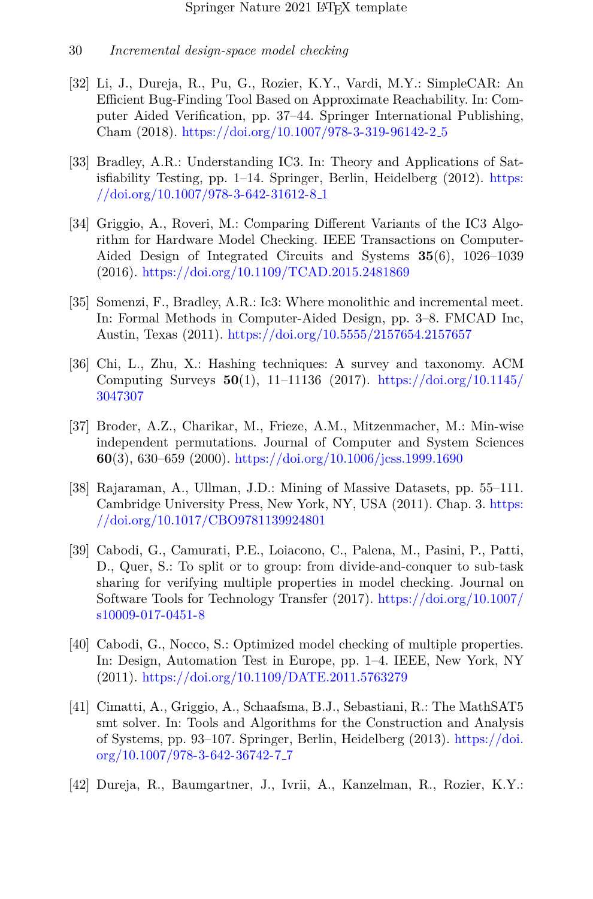- <span id="page-29-0"></span>[32] Li, J., Dureja, R., Pu, G., Rozier, K.Y., Vardi, M.Y.: SimpleCAR: An Efficient Bug-Finding Tool Based on Approximate Reachability. In: Computer Aided Verification, pp. 37–44. Springer International Publishing, Cham (2018). [https://doi.org/10.1007/978-3-319-96142-2](https://doi.org/10.1007/978-3-319-96142-2_5) 5
- <span id="page-29-1"></span>[33] Bradley, A.R.: Understanding IC3. In: Theory and Applications of Satisfiability Testing, pp. 1–14. Springer, Berlin, Heidelberg (2012). [https:](https://doi.org/10.1007/978-3-642-31612-8_1) [//doi.org/10.1007/978-3-642-31612-8](https://doi.org/10.1007/978-3-642-31612-8_1) 1
- <span id="page-29-3"></span>[34] Griggio, A., Roveri, M.: Comparing Different Variants of the IC3 Algorithm for Hardware Model Checking. IEEE Transactions on Computer-Aided Design of Integrated Circuits and Systems **35**(6), 1026–1039 (2016). <https://doi.org/10.1109/TCAD.2015.2481869>
- <span id="page-29-2"></span>[35] Somenzi, F., Bradley, A.R.: Ic3: Where monolithic and incremental meet. In: Formal Methods in Computer-Aided Design, pp. 3–8. FMCAD Inc, Austin, Texas (2011). <https://doi.org/10.5555/2157654.2157657>
- <span id="page-29-4"></span>[36] Chi, L., Zhu, X.: Hashing techniques: A survey and taxonomy. ACM Computing Surveys **50**(1), 11–11136 (2017). [https://doi.org/10.1145/](https://doi.org/10.1145/3047307) [3047307](https://doi.org/10.1145/3047307)
- <span id="page-29-5"></span>[37] Broder, A.Z., Charikar, M., Frieze, A.M., Mitzenmacher, M.: Min-wise independent permutations. Journal of Computer and System Sciences **60**(3), 630–659 (2000). <https://doi.org/10.1006/jcss.1999.1690>
- <span id="page-29-6"></span>[38] Rajaraman, A., Ullman, J.D.: Mining of Massive Datasets, pp. 55–111. Cambridge University Press, New York, NY, USA (2011). Chap. 3. [https:](https://doi.org/10.1017/CBO9781139924801) [//doi.org/10.1017/CBO9781139924801](https://doi.org/10.1017/CBO9781139924801)
- <span id="page-29-7"></span>[39] Cabodi, G., Camurati, P.E., Loiacono, C., Palena, M., Pasini, P., Patti, D., Quer, S.: To split or to group: from divide-and-conquer to sub-task sharing for verifying multiple properties in model checking. Journal on Software Tools for Technology Transfer (2017). [https://doi.org/10.1007/](https://doi.org/10.1007/s10009-017-0451-8) [s10009-017-0451-8](https://doi.org/10.1007/s10009-017-0451-8)
- <span id="page-29-8"></span>[40] Cabodi, G., Nocco, S.: Optimized model checking of multiple properties. In: Design, Automation Test in Europe, pp. 1–4. IEEE, New York, NY (2011). <https://doi.org/10.1109/DATE.2011.5763279>
- <span id="page-29-9"></span>[41] Cimatti, A., Griggio, A., Schaafsma, B.J., Sebastiani, R.: The MathSAT5 smt solver. In: Tools and Algorithms for the Construction and Analysis of Systems, pp. 93–107. Springer, Berlin, Heidelberg (2013). [https://doi.](https://doi.org/10.1007/978-3-642-36742-7_7) [org/10.1007/978-3-642-36742-7](https://doi.org/10.1007/978-3-642-36742-7_7) 7
- <span id="page-29-10"></span>[42] Dureja, R., Baumgartner, J., Ivrii, A., Kanzelman, R., Rozier, K.Y.: